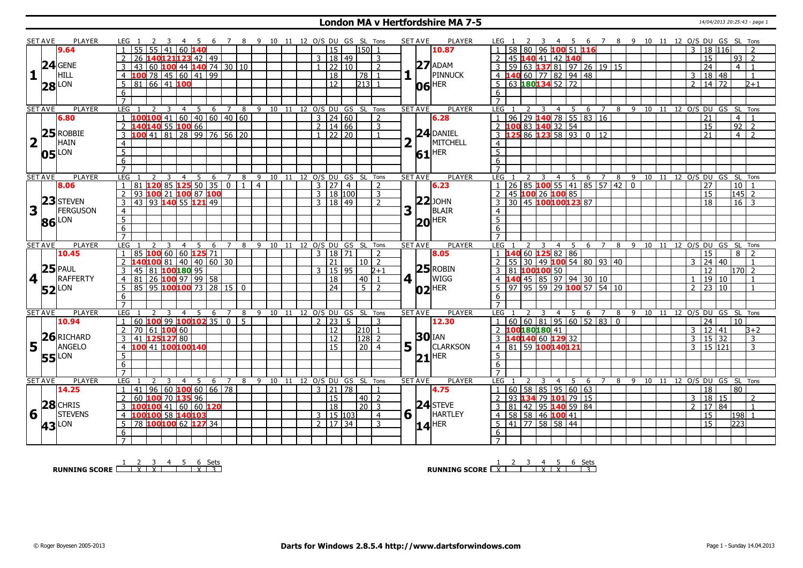#### **London MA v Hertfordshire MA 7-5** 14/04/2013 20:25:43 - page 1

|                         | SET AVE        | <b>PLAYER</b>       | LEG 1<br>-5                                                             | $\overline{7}$      | - 8           | - 9                          | 10 11 12 O/S DU GS SL Tons |                      |                |               |                | <b>SET AVE</b> | <b>PLAYER</b>       | LEG 1                                            | - 45                              |                       |           |         |    |                         |                       | 6 7 8 9 10 11 12 O/S DU GS SL Tons |
|-------------------------|----------------|---------------------|-------------------------------------------------------------------------|---------------------|---------------|------------------------------|----------------------------|----------------------|----------------|---------------|----------------|----------------|---------------------|--------------------------------------------------|-----------------------------------|-----------------------|-----------|---------|----|-------------------------|-----------------------|------------------------------------|
|                         |                | 9.64                | 55<br>55<br>60<br>41                                                    |                     |               |                              |                            | 15                   |                | l150l 1       |                |                | 10.87               | 58<br>80<br>96                                   | 100 51 116                        |                       |           |         |    | $\overline{3}$          | 18 116                | $\overline{2}$                     |
|                         |                |                     | 40121123 42 49<br>26                                                    |                     |               |                              |                            | 3                    | $\sqrt{18/49}$ |               | 3              |                |                     | 45<br>140 41                                     | 42 140                            |                       |           |         |    |                         | 15                    | 93 <br>$\overline{2}$              |
|                         |                | $24$ GENE           | $100$ 44 140 74 30 10<br>43<br>3<br>60                                  |                     |               |                              |                            |                      | 22 10          |               | $\overline{2}$ |                | $27$ ADAM           |                                                  | 59 63 137 81 97 26 19 15          |                       |           |         |    |                         | $\overline{24}$       | 4 <sup>1</sup><br>$\overline{1}$   |
| $\mathbf{1}$            |                | HILL                | 78 45 60 41 99<br>$\overline{4}$<br>100                                 |                     |               |                              |                            | 18                   |                | 78 I          | $\overline{1}$ |                | PINNUCK             | $4 \vert 1$                                      | 40 60 77 82 94 48                 |                       |           |         |    |                         | 3   18   48           | $\overline{1}$                     |
|                         |                |                     | 66 41 100<br>5<br>81                                                    |                     |               |                              |                            | $\overline{12}$      |                | $213$ 1       |                |                | <b>HER</b>          | $\frac{1}{63}$ 180134 52 72<br>5                 |                                   |                       |           |         |    | $\overline{2}$          | 14 72                 | $2+1$                              |
|                         |                | <b>28</b> LON       | 6                                                                       |                     |               |                              |                            |                      |                |               |                |                | 06                  | 6                                                |                                   |                       |           |         |    |                         |                       |                                    |
|                         |                |                     | $\overline{7}$                                                          |                     |               |                              |                            |                      |                |               |                |                |                     | $\overline{7}$                                   |                                   |                       |           |         |    |                         |                       |                                    |
|                         | <b>SET AVE</b> | <b>PLAYER</b>       | <b>LEG</b><br>5<br>$\overline{3}$<br>$\overline{4}$<br>2                | $6 \quad 7 \quad 8$ |               | 9 10 11 12 O/S DU GS SL Tons |                            |                      |                |               |                | <b>SET AVE</b> | <b>PLAYER</b>       | LEG <sub>1</sub><br>2<br>$\overline{\mathbf{3}}$ | 4 5 6 7                           |                       |           |         |    |                         |                       | 8 9 10 11 12 O/S DU GS SL Tons     |
|                         |                | 6.80                | 100 <mark>100</mark> 41   60   40   60   40   60<br>$\mathbf{1}$        |                     |               |                              |                            | $3 \mid 24 \mid 60$  |                |               | 2              |                | 6.28                | $96$   29 <b>140</b> 78   55   83   16           |                                   |                       |           |         |    |                         | 21                    | $\vert 4 \vert$<br>$\overline{1}$  |
|                         |                |                     | 140140 55 100 66<br>$\overline{2}$                                      |                     |               |                              |                            | $2 \mid 14 \mid 66$  |                |               | $\overline{3}$ |                |                     |                                                  |                                   |                       |           |         |    |                         | 15                    | $92$ 2                             |
|                         |                | $25$ ROBBIE         | 41 81 28 99 76 56 20<br>3<br>100                                        |                     |               |                              |                            | $1 \ 22 \ 20$        |                |               |                |                | $24$ DANIEL         |                                                  |                                   |                       |           |         |    |                         | $\overline{21}$       | $\overline{4}$<br>$\overline{z}$   |
| $\overline{\mathbf{2}}$ |                | <b>HAIN</b>         |                                                                         |                     |               |                              |                            |                      |                |               |                |                | MITCHELL            |                                                  |                                   |                       |           |         |    |                         |                       |                                    |
|                         |                |                     | $\overline{4}$                                                          |                     |               |                              |                            |                      |                |               |                |                |                     | $\overline{4}$                                   |                                   |                       |           |         |    |                         |                       |                                    |
|                         |                | $05$ <sup>LON</sup> | $\overline{5}$                                                          |                     |               |                              |                            |                      |                |               |                |                | $61$ <sup>HER</sup> | $\overline{5}$                                   |                                   |                       |           |         |    |                         |                       |                                    |
|                         |                |                     | $\overline{6}$                                                          |                     |               |                              |                            |                      |                |               |                |                |                     | 6                                                |                                   |                       |           |         |    |                         |                       |                                    |
|                         |                |                     | $\overline{7}$                                                          |                     |               |                              |                            |                      |                |               |                |                |                     | $\overline{7}$                                   |                                   |                       |           |         |    |                         |                       |                                    |
|                         | <b>SET AVE</b> | <b>PLAYER</b>       | LEG<br>5<br>3<br>$\overline{4}$                                         | 6<br>$\overline{7}$ | 8             | 9                            | 10 11                      | 12 O/S DU GS SL Tons |                |               |                | <b>SET AVE</b> | <b>PLAYER</b>       | LEG                                              | 5 6<br>$\overline{4}$             | $\overline{7}$        | $-9$<br>8 | $10$ 11 |    |                         |                       | 12 O/S DU GS SL Tons               |
|                         |                | 8.06                | 120 85 125 50 35<br>$\mathbf{1}$<br>81                                  |                     | $\boxed{0}$ 1 | $\overline{4}$               |                            | 3 27                 | 4              |               | $\overline{z}$ |                | 6.23                |                                                  | 26 85 100 55 41 85 57 42 0        |                       |           |         |    |                         | 27                    | 10 <sup>1</sup><br>$\overline{1}$  |
|                         |                | 23 STEVEN           | 100 21 100 87 100<br>$\overline{2}$<br>93                               |                     |               |                              |                            | 3   18   100         |                |               | $\overline{3}$ |                |                     | 45 100 26 100 85<br>2                            |                                   |                       |           |         |    |                         | 15                    | $\frac{145}{2}$                    |
|                         |                |                     | 43 93 140 55 121 49<br>3                                                |                     |               |                              |                            | 3   18   49          |                |               | $\overline{2}$ |                | $ 22 $ JOHN         | 30 45 100100123 87<br>3                          |                                   |                       |           |         |    |                         | $\overline{18}$       | $16 \mid 3$                        |
| $\overline{\mathbf{3}}$ |                | <b>FERGUSON</b>     | $\overline{4}$                                                          |                     |               |                              |                            |                      |                |               |                | 3              | <b>BLAIR</b>        | 4                                                |                                   |                       |           |         |    |                         |                       |                                    |
|                         |                | 86 LON              | $\overline{5}$                                                          |                     |               |                              |                            |                      |                |               |                |                | $ 20 $ HER          | $\overline{5}$                                   |                                   |                       |           |         |    |                         |                       |                                    |
|                         |                |                     | 6                                                                       |                     |               |                              |                            |                      |                |               |                |                |                     | 6                                                |                                   |                       |           |         |    |                         |                       |                                    |
|                         |                |                     | $\overline{7}$                                                          |                     |               |                              |                            |                      |                |               |                |                |                     |                                                  |                                   |                       |           |         |    |                         |                       |                                    |
|                         | <b>SET AVE</b> | <b>PLAYER</b>       | LEG<br>$\overline{4}$<br>5                                              | 6<br>$\overline{7}$ | 8             | 9 10 11 12 0/S DU GS SL Tons |                            |                      |                |               |                | <b>SET AVE</b> | <b>PLAYER</b>       | LEG                                              | - 5<br>$\overline{4}$             | 6 7                   | 8         |         |    | 9 10 11 12 O/S DU GS SL |                       | Tons                               |
|                         |                | 10.45               | 100 60 60 125 71<br>85                                                  |                     |               |                              |                            | $\mathbf{3}$         | $18$ 71        |               | $\overline{2}$ |                | 8.05                |                                                  | 60 125 82 86                      |                       |           |         |    |                         | 15                    | 8 I<br>$\overline{2}$              |
|                         |                |                     | 40100 81 40 40 60 30<br>2                                               |                     |               |                              |                            | 21                   |                | $10\vert 2$   |                |                |                     | $\mathcal{P}$                                    | 55 30 49 100 54 80 93 40          |                       |           |         |    | 3                       | 24<br>40              | $\overline{1}$                     |
|                         |                | $25$ PAUL           | 100 180 95<br>3<br>45<br>81                                             |                     |               |                              |                            | 3   15   95          |                |               | $2 + 1$        |                | $25$ ROBIN          | R1                                               |                                   |                       |           |         |    |                         | 12                    | $170$ 2                            |
|                         | 4              | <b>RAFFERTY</b>     | <u>26 100 97 99 58<br/>95 100 97 99 58 15 0</u><br>$\overline{4}$<br>81 |                     |               |                              |                            | 18                   |                | $40$   1      |                | 4 1            | <b>WIGG</b>         | $4 \vert 1$                                      |                                   |                       |           |         |    |                         | 19 10                 | $\overline{1}$                     |
|                         |                | $52$ <sup>LON</sup> | 5<br>85                                                                 |                     |               |                              |                            | $\overline{24}$      |                | $5\sqrt{2}$   |                |                | $ 02 $ HER          | 5<br>97                                          | $95 \mid 59 \mid 29$ 100 57 54 10 |                       |           |         |    | $\overline{2}$          | 23 10                 | -1                                 |
|                         |                |                     | 6                                                                       |                     |               |                              |                            |                      |                |               |                |                |                     | 6                                                |                                   |                       |           |         |    |                         |                       |                                    |
|                         |                |                     | $\overline{7}$                                                          |                     |               |                              |                            |                      |                |               |                |                |                     | $\overline{7}$                                   |                                   |                       |           |         |    |                         |                       |                                    |
|                         | <b>SET AVE</b> | <b>PLAYER</b>       | <b>LEG</b><br>3<br>-5<br>4                                              | 6<br>$\overline{7}$ | 8             | 9 10 11 12 O/S DU GS SL Tons |                            |                      |                |               |                | <b>SET AVE</b> | PLAYER              | LEG<br>3                                         | - 5<br>4                          | - 6<br>$\overline{7}$ |           |         |    |                         |                       | 8 9 10 11 12 O/S DU GS SL Tons     |
|                         |                | 10.94               | 60 100 99 100 102 35<br>$\mathbf{1}$                                    | $\overline{0}$      | -5            |                              |                            | 2   23   5           |                |               | 3              |                | 12.30               | $1   60   60   81   95   60   52   83   0$       |                                   |                       |           |         |    |                         | $\overline{24}$       | 10 <sup>1</sup>                    |
|                         |                |                     | $ 61 $ 100 60<br>$\overline{2}$<br>70                                   |                     |               |                              |                            | <sup>12</sup>        |                | 210 1         |                |                |                     | 2 100180180 41                                   |                                   |                       |           |         |    | 3                       | 12<br>41              | $B+2$                              |
|                         |                | 26 RICHARD          | $\overline{3}$<br>125127 80<br>41                                       |                     |               |                              |                            | 12                   |                | 128 2         |                |                | <b>30</b> IAN       | 40140 60 129 32<br>3 <sup>1</sup>                |                                   |                       |           |         |    | 3 <sup>1</sup>          | 15 32                 | 3                                  |
|                         | $5\vert$       | ANGELO              | $\overline{4}$<br>100<br>41 100100140                                   |                     |               |                              |                            | $\overline{15}$      |                | 20            | $\overline{4}$ | 5 <sup>1</sup> | <b>CLARKSON</b>     | 81 59 100140121<br>$\overline{4}$                |                                   |                       |           |         |    | $\mathcal{F}$           | 15 121                | 3                                  |
|                         |                | <b>55</b> LON       | 5                                                                       |                     |               |                              |                            |                      |                |               |                |                | $21$ HER            | 5                                                |                                   |                       |           |         |    |                         |                       |                                    |
|                         |                |                     | $\overline{6}$                                                          |                     |               |                              |                            |                      |                |               |                |                |                     | 6                                                |                                   |                       |           |         |    |                         |                       |                                    |
|                         |                |                     | $\overline{7}$                                                          |                     |               |                              |                            |                      |                |               |                |                |                     | $\overline{7}$                                   |                                   |                       |           |         |    |                         |                       |                                    |
|                         | <b>SET AVE</b> | <b>PLAYER</b>       | LEG<br>-5<br>3<br>$\overline{4}$                                        | $\overline{7}$<br>6 | 8             | 9 10 11 12 O/S DU GS SL Tons |                            |                      |                |               |                | <b>SET AVE</b> | <b>PLAYER</b>       | LEG <sub>1</sub><br>3                            | -5<br>4                           | - 6<br>7              | 8         | 9<br>10 | 11 |                         |                       | 12 O/S DU GS SL Tons               |
|                         |                | 14.25               | $96 60 $ 100 60 66 78<br>$\mathbf{1}$<br>41                             |                     |               |                              |                            | $3 \mid 21 \mid 78$  |                |               | $\overline{1}$ |                | 4.75                |                                                  | $60$ 58 85 95 60 63               |                       |           |         |    |                         | 18                    | 80                                 |
|                         |                |                     | 100 70 135 96<br>60<br>$\overline{2}$                                   |                     |               |                              |                            | 15                   |                | 40 2          |                |                |                     | $\overline{2}$                                   | 93 134 79 101 79 15               |                       |           |         |    | $\mathbf{3}$            | 18<br>15              | 2                                  |
|                         |                | $28$ CHRIS          | 100100 41 60 60 120<br>3                                                |                     |               |                              |                            | $\overline{18}$      |                | $\sqrt{20}$ 3 |                |                | $24$ STEVE          | 81 42 95 140 59 84<br>3                          |                                   |                       |           |         |    | $\overline{2}$          | $\overline{17}$<br>84 | $\overline{1}$                     |
| 6                       |                | <b>STEVENS</b>      | LOO <mark>100</mark> 58 140103<br>$\overline{4}$                        |                     |               |                              |                            | 3   15   103         |                |               | $\overline{4}$ | 6 1            | <b>HARTLEY</b>      | 4 58 58 46 100 41                                |                                   |                       |           |         |    |                         | 15                    | $198$ 1                            |
|                         | 43             | LON                 | 78 100 100 62 127 34<br>5                                               |                     |               |                              |                            | $2 \mid 17 \mid 34$  |                |               | $\overline{3}$ |                | $14$ <sup>HER</sup> | $5 \mid 41 \mid 77 \mid 58 \mid 58 \mid 44$      |                                   |                       |           |         |    |                         | $\overline{15}$       | 223                                |
|                         |                |                     |                                                                         |                     |               |                              |                            |                      |                |               |                |                |                     |                                                  |                                   |                       |           |         |    |                         |                       |                                    |
|                         |                |                     |                                                                         |                     |               |                              |                            |                      |                |               |                |                |                     |                                                  |                                   |                       |           |         |    |                         |                       |                                    |
|                         |                |                     | 6<br>$\overline{7}$                                                     |                     |               |                              |                            |                      |                |               |                |                |                     | 6                                                |                                   |                       |           |         |    |                         |                       |                                    |

**RUNNING SCORE**  $\begin{array}{|c|c|c|c|c|}\n\hline\n & 2 & 3 & 4 & 5 & 6 & \text{Sets} \\
\hline\n\end{array}$ 

**RUNNING SCORE**  $\begin{array}{|c|c|c|c|c|}\n\hline\n & 1 & 2 & 3 & 4 & 5 & 6 & \text{Sets} \\
\hline\n\end{array}$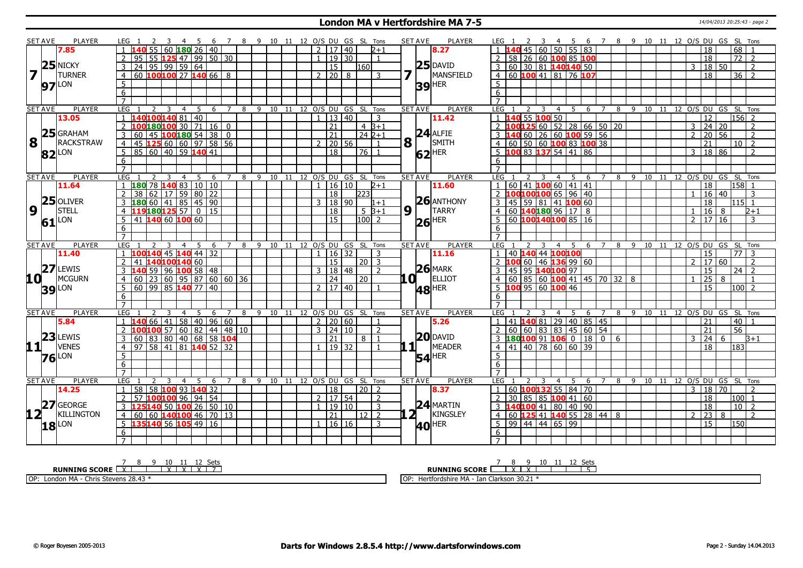### **London MA v Hertfordshire MA 7-5** 14/04/2013 20:25:43 - page 2

|                                                 | <b>SET AVE</b>      | <b>PLAYER</b>     | LEG 1                                                                   | - 6                    | 7 8 9 10 11 12 O/S DU GS SL Tons |                                |                            |               |                     |                      |      | <b>SET AVE</b>   | <b>PLAYER</b>       | LEG 1                                                                                                                                                                               |                |                       |        |                |           |       | 4 5 6 7 8 9 10 11 12 O/S DU GS SL Tons |                          |                     |
|-------------------------------------------------|---------------------|-------------------|-------------------------------------------------------------------------|------------------------|----------------------------------|--------------------------------|----------------------------|---------------|---------------------|----------------------|------|------------------|---------------------|-------------------------------------------------------------------------------------------------------------------------------------------------------------------------------------|----------------|-----------------------|--------|----------------|-----------|-------|----------------------------------------|--------------------------|---------------------|
|                                                 |                     | 7.85              | $60 \, 180 \, 26 \, 140$                                                |                        |                                  |                                |                            |               | 2   17   40         | $2 + 1$              |      |                  | 8.27                | 40 45                                                                                                                                                                               | 60             | $50 \mid 55 \mid 83$  |        |                |           |       |                                        | 18                       | 68                  |
|                                                 |                     |                   | 55 125 47 99 50 30<br>95                                                |                        |                                  |                                |                            | $\mathbf{1}$  | $19$ 30             | $\overline{1}$       |      |                  |                     | 2   58   26   60 $\frac{100}{85}$   $\frac{100}{100}$                                                                                                                               |                |                       |        |                |           |       |                                        | $\overline{18}$          | $\overline{72}$   2 |
|                                                 |                     | $25$ NICKY        | 24   95   99   59   64                                                  |                        |                                  |                                |                            |               | $\overline{15}$     | 160                  |      |                  | $25$ DAVID          | 3   60   30   81   140140 50                                                                                                                                                        |                |                       |        |                |           |       | 3                                      | 18 50                    | $\overline{z}$      |
| $\overline{\mathbf{z}}$                         |                     | <b>TURNER</b>     | 60 $100100$ 27 $140$ 66 8<br>$\overline{4}$                             |                        |                                  |                                |                            |               | $2 \ 20 \ 8$        | 3                    |      |                  | MANSFIELD           | 4 60 100 41 81 76 107                                                                                                                                                               |                |                       |        |                |           |       |                                        | 18                       | $36 \mid 2$         |
|                                                 | <b>97</b> LON       |                   | 5                                                                       |                        |                                  |                                |                            |               |                     |                      |      |                  | $39$ <sup>HER</sup> | 5                                                                                                                                                                                   |                |                       |        |                |           |       |                                        |                          |                     |
|                                                 |                     |                   | 6                                                                       |                        |                                  |                                |                            |               |                     |                      |      |                  |                     | 6                                                                                                                                                                                   |                |                       |        |                |           |       |                                        |                          |                     |
|                                                 |                     |                   | $\overline{7}$                                                          |                        |                                  |                                |                            |               |                     |                      |      |                  |                     |                                                                                                                                                                                     |                |                       |        |                |           |       |                                        |                          |                     |
|                                                 | <b>SET AVE</b>      | <b>PLAYER</b>     | LEG <sub>1</sub><br>$\overline{2}$<br>3<br>4                            | 5<br>6 7               |                                  | 8 9 10 11 12 O/S DU GS SL Tons |                            |               |                     |                      |      | <b>SET AVE</b>   | <b>PLAYER</b>       | LEG 1                                                                                                                                                                               |                | 4 5                   | 6 7    |                |           |       | 8 9 10 11 12 0/S DU GS SL Tons         |                          |                     |
|                                                 |                     | 13.05             | L40 <mark>100</mark> 140 81   40                                        |                        |                                  |                                |                            | $\mathbf{1}$  | 13   40             | 3                    |      |                  | 11.42               | 40 55 100 50                                                                                                                                                                        |                |                       |        |                |           |       |                                        | 12                       | 156 2               |
|                                                 |                     |                   | 0   180   100   30   71   16   0<br>2                                   |                        |                                  |                                |                            |               | 21                  | $4B+1$               |      |                  |                     | $\frac{1}{2}$ $\frac{1}{100}$ $\frac{1}{25}$ $\frac{1}{60}$ $\frac{1}{25}$ $\frac{1}{60}$ $\frac{1}{25}$ $\frac{1}{28}$ $\frac{1}{28}$ $\frac{1}{66}$ $\frac{1}{50}$ $\frac{1}{20}$ |                |                       |        |                |           |       | 3                                      | 24   20                  | $\overline{2}$      |
|                                                 |                     | $25$ GRAHAM       | 45 <b>100 180</b> 54 38 0<br>60<br>3                                    |                        |                                  |                                |                            |               | $\overline{21}$     | 24 2+1               |      |                  | $24$ ALFIE          | 3 140 60 26 60 100 59 56                                                                                                                                                            |                |                       |        |                |           |       | $\mathcal{D}$                          | 20<br>56                 | $\overline{z}$      |
| $\overline{\mathbf{8}}$ $\overline{\mathbf{1}}$ |                     | RACKSTRAW         | 45 125 60 60 97 58 56<br>$\overline{4}$                                 |                        |                                  |                                |                            |               | $2$   20   56       | $\mathbf{1}$         |      | $8\sqrt{1}$      | SMITH               | $4   60   50   60   100   83   100   38$                                                                                                                                            |                |                       |        |                |           |       |                                        | 21                       | 10 <sup>2</sup>     |
|                                                 |                     |                   | 85   60   40   59 <b> 140</b>   41<br>5                                 |                        |                                  |                                |                            |               | $\overline{18}$     | 76 1                 |      |                  | $62$ <sup>HER</sup> | $5\ \ 100\ \ 83\ \ 137\ \ 54\ \ 141\ \ 86$                                                                                                                                          |                |                       |        |                |           |       | 3                                      | 18 86                    | $\overline{2}$      |
|                                                 | $82$ <sup>LON</sup> |                   | 6                                                                       |                        |                                  |                                |                            |               |                     |                      |      |                  |                     | 6                                                                                                                                                                                   |                |                       |        |                |           |       |                                        |                          |                     |
|                                                 |                     |                   | $\overline{7}$                                                          |                        |                                  |                                |                            |               |                     |                      |      |                  |                     |                                                                                                                                                                                     |                |                       |        |                |           |       |                                        |                          |                     |
|                                                 | <b>SET AVE</b>      | <b>PLAYER</b>     | LEG <sub>1</sub><br>3<br>$\overline{4}$                                 | $5\quad 6$             | 7 8 9 10 11 12 O/S DU GS SL Tons |                                |                            |               |                     |                      |      | <b>SET AVE</b>   | <b>PLAYER</b>       | LEG <sub>1</sub><br>$\overline{2}$                                                                                                                                                  | $\overline{3}$ | 456                   |        |                |           |       | 7 8 9 10 11 12 0/S DU GS SL Tons       |                          |                     |
|                                                 |                     | 11.64             | $180$ 78 140 83 10 10                                                   |                        |                                  |                                |                            | $\mathbf{1}$  | 16 10               | $2+1$                |      |                  | 11.60               | 1   60   41   100   60   41   41                                                                                                                                                    |                |                       |        |                |           |       |                                        | $\overline{18}$          | $158$ 1             |
|                                                 |                     |                   | 17<br>38<br>l 62 l                                                      | 59 80 22               |                                  |                                |                            |               | 18                  | 223                  |      |                  |                     | 2 100100100 65 96 40                                                                                                                                                                |                |                       |        |                |           |       |                                        | 16 40                    | 3                   |
|                                                 |                     | $25$ OLIVER       | 180 60 41 85 45 90<br>3                                                 |                        |                                  |                                |                            | $\mathcal{E}$ | 18 90               | $1 + 1$              |      |                  | $26$ ANTHONY        | $45$ 59 81 41 100 60<br>3                                                                                                                                                           |                |                       |        |                |           |       |                                        | $\overline{18}$          | $115$ 1             |
| $\overline{9}$                                  | l I                 | <b>STELL</b>      | 119180125 57 0 15<br>$\overline{4}$                                     |                        |                                  |                                |                            |               | 18                  | $5B+1$               |      | $9^{\text{L}}$   | <b>TARRY</b>        | 4 60 140180 96 17 8                                                                                                                                                                 |                |                       |        |                |           |       |                                        | 16<br>8                  | $2 + 1$             |
|                                                 |                     | LON               | 41 140 60 100 60<br>5 <sup>5</sup>                                      |                        |                                  |                                |                            |               | 15                  | 100 <sub>1</sub>     |      |                  |                     | $5 60 $ 100140100 85 16                                                                                                                                                             |                |                       |        |                |           |       |                                        | $2 \mid 17 \mid 16 \mid$ | $\mathbf{3}$        |
|                                                 | 61                  |                   | 6                                                                       |                        |                                  |                                |                            |               |                     |                      |      |                  | $26$ <sup>HER</sup> | 6                                                                                                                                                                                   |                |                       |        |                |           |       |                                        |                          |                     |
|                                                 |                     |                   | $\overline{7}$                                                          |                        |                                  |                                |                            |               |                     |                      |      |                  |                     | $\overline{7}$                                                                                                                                                                      |                |                       |        |                |           |       |                                        |                          |                     |
|                                                 | <b>SET AVE</b>      | <b>PLAYER</b>     | LEG<br>$\overline{4}$                                                   | 5<br>6                 | 8<br>$\overline{7}$              | 9 10 11 12 0/S DU GS SL Tons   |                            |               |                     |                      |      | <b>SET AVE</b>   | <b>PLAYER</b>       | LEG <sub>1</sub>                                                                                                                                                                    | 3              | 4 5 6 7               |        | $\overline{8}$ |           |       | 9 10 11 12 0/S DU GS SL Tons           |                          |                     |
|                                                 |                     | 11.40             | $100140$ 45 $140$ 44 32<br>$\overline{1}$                               |                        |                                  |                                |                            | $\mathbf{1}$  | 16 32               | 3                    |      |                  | 11.16               | 40 140 44 100100                                                                                                                                                                    |                |                       |        |                |           |       |                                        | 15                       | 77<br>-3            |
|                                                 |                     |                   | $\overline{2}$<br>140100140 60<br>41                                    |                        |                                  |                                |                            |               | 15                  | $20\vert 3$          |      |                  |                     | $2\overline{100}$ 60 46 136 99 60                                                                                                                                                   |                |                       |        |                |           |       | $\overline{2}$                         | 17 60                    | $\overline{2}$      |
|                                                 |                     | $27$ LEWIS        | $96$ 100 58 48<br>140 59 I                                              |                        |                                  |                                |                            |               | 3   18   48         | $\overline{2}$       |      |                  | $26$ MARK           | 45 95 140 100 97                                                                                                                                                                    |                |                       |        |                |           |       |                                        | 15                       | $24$   2            |
| 10 L                                            |                     | <b>MCGURN</b>     | 23 60 95 87 60 60 36<br>$\overline{4}$<br>60                            |                        |                                  |                                |                            |               | $ 24\rangle$        | 20                   | 10 L |                  | ELLIOT              | 60   85   60 <b>100</b> 41   45   70   32   8                                                                                                                                       |                |                       |        |                |           |       |                                        | 25<br>8                  | $\overline{1}$      |
|                                                 |                     |                   | 60 99 85 140 77 40<br>5                                                 |                        |                                  |                                |                            |               | 2   17   40         |                      |      |                  |                     | $5 \vert 100 \vert 95 \vert 60 \vert 100 \vert 46$                                                                                                                                  |                |                       |        |                |           |       |                                        | 15                       | 100 2               |
|                                                 | <b>39</b> LON       |                   | 6                                                                       |                        |                                  |                                |                            |               |                     |                      |      |                  | $ 48 $ HER          | 6                                                                                                                                                                                   |                |                       |        |                |           |       |                                        |                          |                     |
|                                                 |                     |                   | $\overline{7}$                                                          |                        |                                  |                                |                            |               |                     |                      |      |                  |                     | $\overline{7}$                                                                                                                                                                      |                |                       |        |                |           |       |                                        |                          |                     |
|                                                 | <b>SET AVE</b>      | PLAYER            | LEG<br>4                                                                | 5<br>6<br>7            |                                  | 8 9 10 11                      |                            |               |                     | 12 O/S DU GS SL Tons |      | <b>SET AVE</b>   | <b>PLAYER</b>       | LEG                                                                                                                                                                                 | 3              | 5<br>4                | 6 7    |                | 8 9 10 11 |       | 12 O/S DU GS SL                        |                          | Tons                |
|                                                 |                     | 5.84              | 140 66                                                                  | 41   58   40   96   60 |                                  |                                |                            |               | 2 20 60             | $\mathbf{1}$         |      |                  | 5.26                |                                                                                                                                                                                     |                |                       |        |                |           |       |                                        | 21                       | 40 l                |
|                                                 |                     |                   | <b>LOO100</b> 57 60 82 44 48 10<br>$\mathcal{P}$                        |                        |                                  |                                |                            |               | $3 \mid 24 \mid 10$ | $\overline{2}$       |      |                  |                     | 41 <b>140</b> 81 29 40 85 45<br>60 60 83 83 45 60 54<br>$\mathcal{P}$                                                                                                               |                |                       |        |                |           |       |                                        | 21                       | $\overline{56}$     |
|                                                 |                     | $23$ LEWIS        | 83 80 40 68 58 104<br>60<br>3                                           |                        |                                  |                                |                            |               | 21                  | 8 1                  |      |                  | $20$ DAVID          | 3 180 100 91 1060 1806                                                                                                                                                              |                |                       |        |                |           |       | 3                                      | 24<br>6                  | $B+1$               |
| 11                                              |                     | <b>VENES</b>      | $97 \mid 58 \mid 41 \mid 81 \mid 140 \mid 52 \mid 32$<br>$\overline{4}$ |                        |                                  |                                |                            | $\mathbf{1}$  | 19   32             | $\mathbf{1}$         |      | $1\vert$ $\vert$ | MEADER              | $4 \mid 41 \mid 40 \mid 78 \mid 60 \mid 60 \mid 39$                                                                                                                                 |                |                       |        |                |           |       |                                        | $\overline{18}$          | 183                 |
|                                                 |                     |                   | 5                                                                       |                        |                                  |                                |                            |               |                     |                      |      |                  |                     | 5.                                                                                                                                                                                  |                |                       |        |                |           |       |                                        |                          |                     |
|                                                 | $76$ <sup>LON</sup> |                   | 6                                                                       |                        |                                  |                                |                            |               |                     |                      |      |                  | $54$ <sup>HER</sup> | 6                                                                                                                                                                                   |                |                       |        |                |           |       |                                        |                          |                     |
|                                                 |                     |                   |                                                                         |                        |                                  |                                |                            |               |                     |                      |      |                  |                     |                                                                                                                                                                                     |                |                       |        |                |           |       |                                        |                          |                     |
|                                                 | <b>SET AVE</b>      | <b>PLAYER</b>     | LEG<br>$\overline{4}$                                                   | -5<br>6                | 8                                | $\overline{9}$                 | 10 11 12 0/S DU GS SL Tons |               |                     |                      |      | <b>SET AVE</b>   | <b>PLAYER</b>       | LEG :                                                                                                                                                                               |                | - 5<br>$\overline{4}$ | 6<br>7 | 89             |           | 10 11 | 12 O/S DU GS SL Tons                   |                          |                     |
|                                                 |                     | 14.25             | 58 100 93 140 32<br>$\mathbf{1}$<br>58                                  |                        |                                  |                                |                            |               | $\overline{18}$     | $\sqrt{20}$ 2        |      |                  | 8.37                | 60 100132 55 84 70                                                                                                                                                                  |                |                       |        |                |           |       |                                        | 3   18   70              | $\overline{2}$      |
|                                                 |                     |                   | 100100 96 94 54<br>57                                                   |                        |                                  |                                |                            | 2             | 17 54               | $\overline{2}$       |      |                  |                     | 30                                                                                                                                                                                  |                | $85$ 85 100 41 60     |        |                |           |       |                                        | 18                       | 100  1              |
|                                                 |                     | 27 GEORGE         | L25 140 50 100 26 50 10<br>3                                            |                        |                                  |                                |                            |               | 19 10               | $\overline{3}$       |      |                  | $24$ MARTIN         |                                                                                                                                                                                     |                | 40 100 41 80 40 90    |        |                |           |       |                                        | $\overline{18}$          | $10\overline{2}$    |
| 12 <sub>1</sub>                                 |                     | <b>KILLINGTON</b> | 60   140   100   46   70   13<br>60<br>$\overline{4}$                   |                        |                                  |                                |                            |               | $\overline{21}$     | $12$   2             |      | <b>21</b>        | KINGSLEY            | 4 60 <b>125</b> 41 <b>140</b> 55 28 44 8                                                                                                                                            |                |                       |        |                |           |       | $\overline{2}$                         | 23<br>8                  | $\overline{z}$      |
|                                                 |                     |                   |                                                                         |                        |                                  |                                |                            |               |                     |                      |      |                  |                     |                                                                                                                                                                                     |                |                       |        |                |           |       |                                        |                          |                     |
|                                                 |                     |                   |                                                                         |                        |                                  |                                |                            |               |                     |                      |      |                  |                     |                                                                                                                                                                                     |                |                       |        |                |           |       |                                        |                          |                     |
|                                                 |                     |                   | 135140 56 105 49 16<br>5 <sup>1</sup>                                   |                        |                                  |                                |                            |               | $1 \mid 16 \mid 16$ | 3                    |      |                  | <b>40 HER</b>       | $5 \big  99 \big  44 \big  44 \big  65 \big  99$                                                                                                                                    |                |                       |        |                |           |       |                                        | $\overline{15}$          | 150                 |
|                                                 | $18$ <sup>LON</sup> |                   | 6<br>$\overline{7}$                                                     |                        |                                  |                                |                            |               |                     |                      |      |                  |                     | 6                                                                                                                                                                                   |                |                       |        |                |           |       |                                        |                          |                     |

| -`≏t≺                                                    | 10<br>⊬ہ⊃<br>ື                                                   |
|----------------------------------------------------------|------------------------------------------------------------------|
| <b>RUNNING SCORE</b> L<br>--                             | <b>RUNNING SCORE</b>                                             |
| OP:<br>don M/<br>⊿8.43 <sup>*</sup><br>: Stevens<br>hris | OP<br>30.21<br>ertfordshire MA<br>. - Iar<br>Clarkson<br>. JU.L. |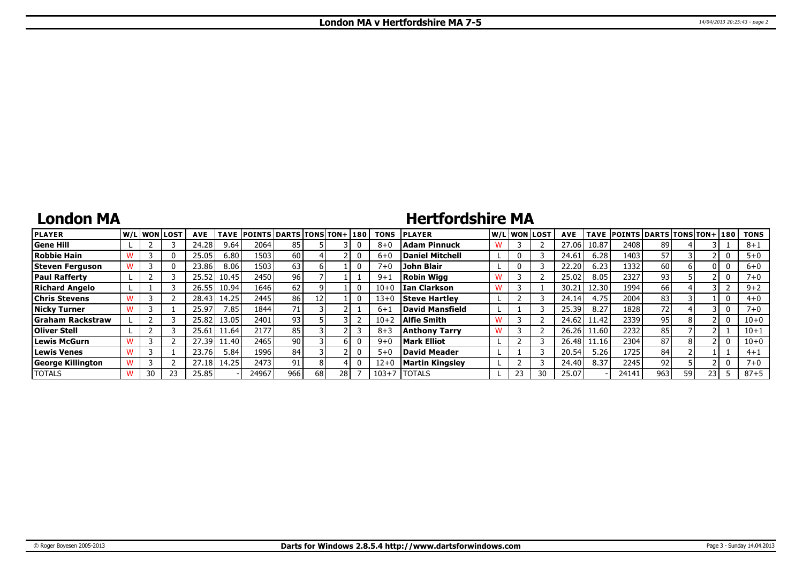### **London MA**

# **Hertfordshire MA**

| <b>PLAYER</b>            |    | W/Liwonilost! | <b>AVE</b> | <b>TAVE</b> | <b>POINTS DARTS TONS TON+130</b> |     |     |    | <b>TONS</b> | <b>PLAYER</b>          |    | W/Liwonilost | <b>AVE</b> |       | TAVE POINTS DARTS TONS TON+ 180 |     |    |      | <b>TONS</b> |
|--------------------------|----|---------------|------------|-------------|----------------------------------|-----|-----|----|-------------|------------------------|----|--------------|------------|-------|---------------------------------|-----|----|------|-------------|
| <b>Gene Hill</b>         |    |               | 24.28      | 9.64        | 2064                             | 85  |     |    | $8 + C$     | Adam Pinnuck           |    |              | 27.06      | 10.87 | 2408                            | 89  |    |      | $8 + 1$     |
| Robbie Hain              |    | $^{(1)}$      | 25.05      | 6.80        | 1503                             | 60  |     |    | $6+$        | <b>Daniel Mitchell</b> |    |              | 24.61      | 6.28  | 1403                            | 57  |    |      | $5+0$       |
| Steven Ferguson          |    | 0             | 23.86      | 8.06        | 1503                             | 63  |     |    | $7 + C$     | John Blair             |    |              | 22.20      | 6.23  | 1332                            | 60  |    |      | $6 + 0$     |
| <b>Paul Rafferty</b>     |    |               | 25.52      | 10.45       | 2450                             | 96  |     |    | $9 + 1$     | Robin Wiaa             |    |              | 25.02      | 8.05  | 2327                            | 93  |    |      | 7+0         |
| Richard Angelo           |    |               | 26.55      | 10.94       | 1646 l                           | 62  |     |    | $10 + 0$    | I Ian Clarkson         |    |              | 30.2       | 12.30 | 1994                            | 66  |    |      | $9 + 2$     |
| <b>Chris Stevens</b>     |    |               | 28.43      | 14.25       | 2445                             | 86  |     |    | $13 + 0$    | <b>Steve Hartley</b>   |    |              | 24.14      | 4.75  | 2004                            | 83  |    |      | $4 + 0$     |
| <b>Nicky Turner</b>      |    |               | 25.97      | 1.85        | 1844                             | 71  |     |    | $6 + 1$     | David Mansfield        |    |              | 25.39      | 8.27  | 1828                            | 72  |    |      | 7+0         |
| <b>Graham Rackstraw</b>  |    |               | 25.82      | 13.05       | 2401                             | 93  |     |    | $10 + 2$    | Alfie Smith            |    |              | 24.62      | 11.42 | 2339                            | 95  |    |      | $10 + 0$    |
| Oliver Stell             |    |               | 25.61      | 1.64        | 2177                             | 85  |     |    | $8 + 3$     | <b>Anthony Tarry</b>   |    |              | 26.26      | 11.60 | 2232                            | 85  |    |      | $10 + 1$    |
| Lewis McGurn             |    |               | 27.39      | 1.40        | 2465                             | 90  |     |    | $9 + 0$     | <b>Mark Elliot</b>     |    |              | 26.48      | 11.16 | 2304                            | 87  |    |      | $10 + 0$    |
| <b>Lewis Venes</b>       |    |               | 23.76      | 5.84        | 1996                             | 84  |     |    | $5 + 0$     | David Meader           |    |              | 20.54      | 5.26  | 1725                            | 84  |    |      | $4 + 1$     |
| <b>George Killington</b> |    |               | 27.18      | 14.25       | 2473                             | 91  |     |    | $12 + 0$    | <b>Martin Kingsley</b> |    |              | 24.40      | 8.37  | 2245                            | 92  |    |      | $7 + 0$     |
| <b>TOTALS</b>            | 30 |               | 25.85      |             | 24967                            | 966 | 681 | 28 | $103 + 7$   | <b>TOTALS</b>          | 23 | 30           | 25.07      |       | 24141                           | 963 | 59 | 23 I | $87 + 5$    |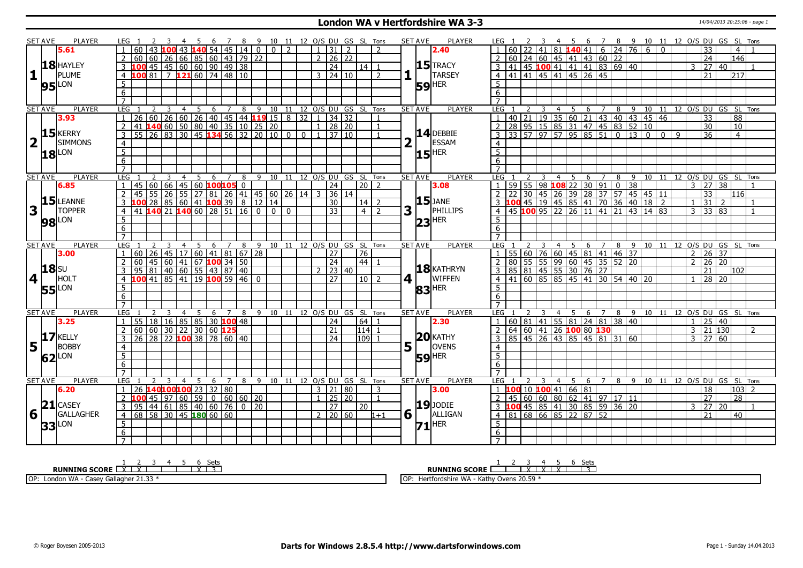### **London WA v Hertfordshire WA 3-3** 14/04/2013 20:25:06 - page 1

|                         | <b>SET AVE</b> | <b>PLAYER</b>       | LEG 1               |                                                                     |                                                                                            |                |                |   |                |   |   |                 |  |                |                     | 4 5 6 7 8 9 10 11 12 O/S DU GS SL Tons |                |     | <b>SET AVE</b>        | <b>PLAYER</b>       | LEG 1            |    |                 |    |                |                     |   |                                                  |                |                     | 3 4 5 6 7 8 9 10 11 12 O/S DU GS SL Tons                                                                                                                                                                                                                                                             |                 |              |          |                                   |                |                            |                |
|-------------------------|----------------|---------------------|---------------------|---------------------------------------------------------------------|--------------------------------------------------------------------------------------------|----------------|----------------|---|----------------|---|---|-----------------|--|----------------|---------------------|----------------------------------------|----------------|-----|-----------------------|---------------------|------------------|----|-----------------|----|----------------|---------------------|---|--------------------------------------------------|----------------|---------------------|------------------------------------------------------------------------------------------------------------------------------------------------------------------------------------------------------------------------------------------------------------------------------------------------------|-----------------|--------------|----------|-----------------------------------|----------------|----------------------------|----------------|
|                         |                | 5.61                |                     |                                                                     | $\overline{100}$ 43 <b>140</b> 54 45 14 0 0 0 2                                            |                |                |   |                |   |   |                 |  |                | $1 \mid 31 \mid 2$  |                                        | $\mathcal{D}$  |     |                       | 2.40                |                  |    |                 | 41 |                | 81 140 41           |   |                                                  |                | $6 \mid 24 \mid 76$ | 6                                                                                                                                                                                                                                                                                                    | $\Omega$        |              |          | 33                                |                | $\overline{4}$             |                |
|                         |                |                     |                     | 60 <sub>1</sub>                                                     | 60 26 66 85 60 43 79 22                                                                    |                |                |   |                |   |   |                 |  | 2 <sup>1</sup> | 26 22               |                                        |                |     |                       |                     |                  |    |                 |    |                |                     |   | $60$ 24 60 45 41 43 60 22                        |                |                     |                                                                                                                                                                                                                                                                                                      |                 |              |          | $\overline{24}$                   |                | 146                        |                |
|                         |                | $18$ HAYLEY         |                     |                                                                     | $145$   45   60   60   90   49   38                                                        |                |                |   |                |   |   |                 |  |                | 24                  | 14 I                                   |                |     |                       | $15$ TRACY          |                  |    |                 |    |                |                     |   | 41 45 100 41 41 41 83 69 40                      |                |                     |                                                                                                                                                                                                                                                                                                      |                 |              |          | 3   27   40                       |                |                            |                |
| $\mathbf{1}$            |                | PLUME               |                     | $\overline{100}$ 81 7 121 60 74 48 10                               |                                                                                            |                |                |   |                |   |   |                 |  |                |                     |                                        | $\mathcal{P}$  |     |                       | <b>TARSEY</b>       |                  |    |                 |    |                |                     |   | 41 41 45 41 45 26 45                             |                |                     |                                                                                                                                                                                                                                                                                                      |                 |              |          | 21                                |                | 12171                      |                |
|                         |                |                     | $\overline{4}$      |                                                                     |                                                                                            |                |                |   |                |   |   |                 |  |                | $3 \mid 24 \mid 10$ |                                        |                |     |                       |                     | $\overline{4}$   |    |                 |    |                |                     |   |                                                  |                |                     |                                                                                                                                                                                                                                                                                                      |                 |              |          |                                   |                |                            |                |
|                         |                | <b>95</b> LON       | 5                   |                                                                     |                                                                                            |                |                |   |                |   |   |                 |  |                |                     |                                        |                |     |                       | $59$ <sup>HER</sup> | .5               |    |                 |    |                |                     |   |                                                  |                |                     |                                                                                                                                                                                                                                                                                                      |                 |              |          |                                   |                |                            |                |
|                         |                |                     | 6                   |                                                                     |                                                                                            |                |                |   |                |   |   |                 |  |                |                     |                                        |                |     |                       |                     | 6                |    |                 |    |                |                     |   |                                                  |                |                     |                                                                                                                                                                                                                                                                                                      |                 |              |          |                                   |                |                            |                |
|                         |                |                     | $\overline{7}$      |                                                                     |                                                                                            |                |                |   |                |   |   |                 |  |                |                     |                                        |                |     |                       |                     | $\overline{7}$   |    |                 |    |                |                     |   |                                                  |                |                     |                                                                                                                                                                                                                                                                                                      |                 |              |          |                                   |                |                            |                |
|                         | <b>SET AVE</b> | <b>PLAYER</b>       | <b>LEG</b>          | 2                                                                   | 3 4 5 6 7 8 9 10 11 12 0/5 DU GS SL TOns<br>26 60 26 40 45 44 <b>119</b> 15 8 32 1 34 32 1 |                |                |   |                |   |   |                 |  |                |                     |                                        |                |     | <b>SET AVE</b>        | PLAYER              | LEG              |    |                 |    |                |                     |   |                                                  |                |                     | $\frac{1}{40}$ $\frac{1}{21}$ $\frac{2}{19}$ $\frac{3}{35}$ $\frac{4}{60}$ $\frac{5}{21}$ $\frac{6}{43}$ $\frac{7}{40}$ $\frac{8}{31}$ $\frac{9}{40}$ $\frac{11}{43}$ $\frac{1}{40}$ $\frac{13}{43}$ $\frac{14}{45}$ $\frac{13}{45}$ $\frac{14}{45}$ $\frac{13}{83}$ $\frac{13}{52}$ $\frac{10}{10}$ |                 |              |          |                                   |                | 11 12 0/S DU GS SL Tons    |                |
|                         |                | 3.93                | $\overline{1}$      | 60<br>$\overline{26}$                                               |                                                                                            |                |                |   |                |   |   |                 |  |                |                     |                                        |                |     |                       |                     | $\mathbf{1}$     |    |                 |    |                |                     |   |                                                  |                |                     |                                                                                                                                                                                                                                                                                                      |                 |              |          | $\overline{33}$                   |                | 88                         |                |
|                         |                |                     | $\overline{2}$      | 41 <b>140</b> 60 50 80 40 35 10 25 20                               |                                                                                            |                |                |   |                |   |   |                 |  |                | $1 \mid 28 \mid 20$ |                                        | $\mathbf{1}$   |     |                       |                     | $\overline{2}$   |    |                 |    |                |                     |   |                                                  |                |                     |                                                                                                                                                                                                                                                                                                      |                 |              |          | 30                                |                | 10                         |                |
|                         |                | $15$ <b>KERRY</b>   | $\overline{3}$      | 55                                                                  | 26 83 30 45 134 56 32 20 10 0 0 1 37 10                                                    |                |                |   |                |   |   |                 |  |                |                     |                                        |                |     |                       | $14$ DEBBIE         | 3                |    |                 |    |                |                     |   | $\frac{1}{33}$ 57 97 57 95 85 51 0 13            |                |                     | $\Omega$                                                                                                                                                                                                                                                                                             | $\Omega$        | $\mathsf{q}$ |          | $\overline{36}$                   |                | $\overline{4}$             |                |
| $\overline{\mathbf{2}}$ | $\mathbf{L}$   | <b>SIMMONS</b>      | $\overline{4}$      |                                                                     |                                                                                            |                |                |   |                |   |   |                 |  |                |                     |                                        |                |     |                       | ESSAM               | $\overline{4}$   |    |                 |    |                |                     |   |                                                  |                |                     |                                                                                                                                                                                                                                                                                                      |                 |              |          |                                   |                |                            |                |
|                         |                | $18$ <sup>LON</sup> | $\overline{5}$      |                                                                     |                                                                                            |                |                |   |                |   |   |                 |  |                |                     |                                        |                |     |                       | $15$ <sup>HER</sup> | 5                |    |                 |    |                |                     |   |                                                  |                |                     |                                                                                                                                                                                                                                                                                                      |                 |              |          |                                   |                |                            |                |
|                         |                |                     | $6\overline{6}$     |                                                                     |                                                                                            |                |                |   |                |   |   |                 |  |                |                     |                                        |                |     |                       |                     | 6                |    |                 |    |                |                     |   |                                                  |                |                     |                                                                                                                                                                                                                                                                                                      |                 |              |          |                                   |                |                            |                |
|                         |                |                     | $\overline{7}$      |                                                                     |                                                                                            |                |                |   |                |   |   |                 |  |                |                     |                                        |                |     |                       |                     |                  |    |                 |    |                |                     |   |                                                  |                |                     |                                                                                                                                                                                                                                                                                                      |                 |              |          |                                   |                |                            |                |
|                         | <b>SET AVE</b> | <b>PLAYER</b>       | LEG                 |                                                                     | 3                                                                                          | $\overline{4}$ | 5 <sup>5</sup> | 6 | $\overline{7}$ | 8 |   |                 |  |                |                     | 9 10 11 12 0/S DU GS SL Tons           |                |     | <b>SET AVE</b>        | PLAYER              | LEG              |    |                 | 3  | $\overline{4}$ | 5                   | 6 | $\overline{7}$                                   | 8              | 9                   | 10                                                                                                                                                                                                                                                                                                   | $\overline{11}$ |              |          |                                   |                | 12 O/S DU GS SL Tons       |                |
|                         |                | 6.85                |                     | 60<br>45                                                            | $66$   45   60 <b>100 105</b> 0                                                            |                |                |   |                |   |   |                 |  |                | $\overline{24}$     | $20$   2                               |                |     |                       | 3.08                |                  | 59 | $\overline{55}$ |    |                | 98 108 22           |   | 30   91                                          | $\overline{0}$ | $\overline{38}$     |                                                                                                                                                                                                                                                                                                      |                 |              |          | $3 \overline{)27} \overline{)38}$ |                |                            |                |
|                         |                |                     | 2                   | 45                                                                  | 55 26 55 27 81 26 41 45 60 26 14 3                                                         |                |                |   |                |   |   |                 |  |                | 36 14               |                                        |                |     |                       |                     |                  |    |                 |    |                |                     |   |                                                  |                |                     | $\begin{array}{r rrrrrrrrr} 2 & 22 & 30 & 45 & 26 & 39 & 28 & 37 & 57 & 45 & 45 & 11 \\ \hline 3 & 100 & 45 & 19 & 45 & 85 & 41 & 70 & 36 & 40 & 18 & 2 \\ 4 & 45 & 100 & 95 & 22 & 26 & 11 & 41 & 21 & 43 & 14 & 83 \\ \end{array}$                                                                 |                 |              |          | $\overline{33}$                   |                | 116                        |                |
|                         |                | $15$ LEANNE         | $\mathcal{E}$       | $100$ 28 85 60 41 100 39 8 12 14                                    |                                                                                            |                |                |   |                |   |   |                 |  |                | 30                  | 14 <sup>1</sup>                        | $\overline{z}$ |     |                       | $15$ JANE           |                  |    |                 |    |                |                     |   |                                                  |                |                     |                                                                                                                                                                                                                                                                                                      |                 |              | $1 \ 31$ |                                   | $\overline{2}$ |                            |                |
| 3                       |                | <b>TOPPER</b>       | $\overline{4}$      | 41 140 21 140 60 28 51 16 0                                         |                                                                                            |                |                |   |                |   |   | 0 <sup>10</sup> |  |                | $\overline{33}$     | 4                                      | $\overline{2}$ | 3   |                       | PHILLIPS            |                  |    |                 |    |                |                     |   |                                                  |                |                     |                                                                                                                                                                                                                                                                                                      |                 |              |          | $3 \overline{)33}$ 83             |                |                            |                |
|                         |                |                     | $\overline{5}$      |                                                                     |                                                                                            |                |                |   |                |   |   |                 |  |                |                     |                                        |                |     |                       |                     | $5^{\circ}$      |    |                 |    |                |                     |   |                                                  |                |                     |                                                                                                                                                                                                                                                                                                      |                 |              |          |                                   |                |                            |                |
|                         |                | <b>98</b> LON       | $\overline{6}$      |                                                                     |                                                                                            |                |                |   |                |   |   |                 |  |                |                     |                                        |                |     |                       | $23$ <sup>HER</sup> | 6                |    |                 |    |                |                     |   |                                                  |                |                     |                                                                                                                                                                                                                                                                                                      |                 |              |          |                                   |                |                            |                |
|                         |                |                     | $\overline{7}$      |                                                                     |                                                                                            |                |                |   |                |   |   |                 |  |                |                     |                                        |                |     |                       |                     |                  |    |                 |    |                |                     |   |                                                  |                |                     |                                                                                                                                                                                                                                                                                                      |                 |              |          |                                   |                |                            |                |
|                         | <b>SET AVE</b> | <b>PLAYER</b>       | LEG                 |                                                                     |                                                                                            |                |                |   |                |   |   |                 |  |                |                     | 6 7 8 9 10 11 12 0/S DU GS SL Tons     |                |     | <b>SET AVE</b>        | <b>PLAYER</b>       | LEG              |    |                 | 3  |                | 4 <sub>5</sub>      |   |                                                  |                |                     | 6 7 8 9 10 11 12 0/S DU GS SL Tons                                                                                                                                                                                                                                                                   |                 |              |          |                                   |                |                            |                |
|                         |                | 3.00                |                     | $60$   26   45   17   60   41   81   67   28                        |                                                                                            | $\overline{4}$ | 5              |   |                |   |   |                 |  |                | 27                  | 76                                     |                |     |                       |                     |                  |    |                 |    |                |                     |   | 55 60 76 60 45 81 41 46 37                       |                |                     |                                                                                                                                                                                                                                                                                                      |                 |              |          | $2 \mid 26 \mid 37$               |                |                            |                |
|                         |                |                     |                     |                                                                     |                                                                                            |                |                |   |                |   |   |                 |  |                |                     |                                        |                |     |                       |                     |                  |    |                 |    |                |                     |   |                                                  |                |                     |                                                                                                                                                                                                                                                                                                      |                 |              |          |                                   |                |                            |                |
|                         |                |                     |                     |                                                                     |                                                                                            |                |                |   |                |   |   |                 |  |                |                     |                                        |                |     |                       |                     |                  |    |                 |    |                |                     |   |                                                  |                |                     |                                                                                                                                                                                                                                                                                                      |                 |              |          |                                   |                |                            |                |
|                         |                |                     |                     | 60                                                                  | 45   60   41   67 <b>100</b> 34   50                                                       |                |                |   |                |   |   |                 |  |                | 24                  | 44                                     |                |     |                       |                     |                  |    |                 |    |                |                     |   | 80 55 55 99 60 45 35 52 20                       |                |                     |                                                                                                                                                                                                                                                                                                      |                 |              |          | $2 \mid 26 \mid 20$               |                |                            |                |
|                         |                | <b>18</b> SU        | 3                   | 95 81 40 60 55 43 87 40                                             |                                                                                            |                |                |   |                |   |   |                 |  |                | 23   40             |                                        |                |     |                       | $18$ <b>KATHRYN</b> |                  |    |                 |    |                |                     |   |                                                  |                |                     |                                                                                                                                                                                                                                                                                                      |                 |              |          | 21                                |                | 102                        |                |
| $\overline{\mathbf{4}}$ | H.             | HOLT                | $\overline{4}$      | $100$ 41 85 41 19 100 59 46 0                                       |                                                                                            |                |                |   |                |   |   |                 |  |                | 27                  | 10 <sup>2</sup>                        |                | 4 1 |                       | <b>WIFFEN</b>       |                  |    |                 |    |                |                     |   |                                                  |                |                     | 3 85 81 45 55 30 76 27<br>4 41 60 85 85 45 41 30 54 40 20                                                                                                                                                                                                                                            |                 |              |          | $1 \overline{28}$ 20              |                |                            |                |
|                         |                |                     | 5 <sup>5</sup>      |                                                                     |                                                                                            |                |                |   |                |   |   |                 |  |                |                     |                                        |                |     |                       |                     | 5                |    |                 |    |                |                     |   |                                                  |                |                     |                                                                                                                                                                                                                                                                                                      |                 |              |          |                                   |                |                            |                |
|                         |                | <b>55</b> LON       | 6                   |                                                                     |                                                                                            |                |                |   |                |   |   |                 |  |                |                     |                                        |                |     |                       | $83$ <sup>HER</sup> | 6                |    |                 |    |                |                     |   |                                                  |                |                     |                                                                                                                                                                                                                                                                                                      |                 |              |          |                                   |                |                            |                |
|                         |                |                     | $\overline{7}$      |                                                                     |                                                                                            |                |                |   |                |   |   |                 |  |                |                     |                                        |                |     |                       |                     | $\overline{7}$   |    |                 |    |                |                     |   |                                                  |                |                     |                                                                                                                                                                                                                                                                                                      |                 |              |          |                                   |                |                            |                |
|                         | <b>SET AVE</b> | PLAYER              | <b>LEG</b>          |                                                                     |                                                                                            | $\overline{4}$ | 5              |   | 6 7            | 8 |   |                 |  |                |                     | 9 10 11 12 O/S DU GS SL Tons           |                |     | <b>SET AVE</b>        | PLAYER              | LEG              |    |                 | 3  | $\overline{4}$ | - 5                 | 6 | $\overline{7}$                                   | 8              | $\sqrt{9}$          |                                                                                                                                                                                                                                                                                                      |                 |              |          |                                   |                | 10 11 12 0/S DU GS SL Tons |                |
|                         |                | 3.25                | $\mathbf{1}$        | $55   18   16   85   85   30   100   48$                            |                                                                                            |                |                |   |                |   |   |                 |  |                | 24                  | 64 1                                   |                |     |                       | 2.30                | $\mathbf{1}$     |    |                 |    |                |                     |   | 60   81   41   55   81   24   81   38   40       |                |                     |                                                                                                                                                                                                                                                                                                      |                 |              |          | $1 \mid 25 \mid 40$               |                |                            |                |
|                         |                |                     | 2                   | 60                                                                  | 60 30 22 30 60 125                                                                         |                |                |   |                |   |   |                 |  |                | $\overline{21}$     | 114                                    | $\overline{1}$ |     |                       |                     | $\overline{2}$   |    |                 |    |                |                     |   | 64   60   41   26 <mark>100</mark> 80 <b>130</b> |                |                     |                                                                                                                                                                                                                                                                                                      |                 |              |          | $3$   21   130                    |                |                            | $\overline{z}$ |
|                         |                | $17$ KELLY          | $\overline{3}$      | $26 \mid 28 \mid 22$ 100 38 78 60 40                                |                                                                                            |                |                |   |                |   |   |                 |  |                | $\overline{24}$     | 109                                    |                |     |                       | $20$ KATHY          | $\overline{3}$   |    |                 |    |                |                     |   | 85 45 26 43 85 45 81 31 60                       |                |                     |                                                                                                                                                                                                                                                                                                      |                 |              |          | $3 \mid 27 \mid 60$               |                |                            |                |
| 5                       |                | <b>BOBBY</b>        | $\overline{4}$      |                                                                     |                                                                                            |                |                |   |                |   |   |                 |  |                |                     |                                        |                |     | $5\vert$ <sup>T</sup> | OVENS               | $\overline{4}$   |    |                 |    |                |                     |   |                                                  |                |                     |                                                                                                                                                                                                                                                                                                      |                 |              |          |                                   |                |                            |                |
|                         |                |                     | $\overline{5}$      |                                                                     |                                                                                            |                |                |   |                |   |   |                 |  |                |                     |                                        |                |     |                       |                     | 5                |    |                 |    |                |                     |   |                                                  |                |                     |                                                                                                                                                                                                                                                                                                      |                 |              |          |                                   |                |                            |                |
|                         |                | 62 <sup>LON</sup>   | 6                   |                                                                     |                                                                                            |                |                |   |                |   |   |                 |  |                |                     |                                        |                |     |                       | $59$ <sup>HER</sup> | 6                |    |                 |    |                |                     |   |                                                  |                |                     |                                                                                                                                                                                                                                                                                                      |                 |              |          |                                   |                |                            |                |
|                         |                |                     | $\overline{7}$      |                                                                     |                                                                                            |                |                |   |                |   |   |                 |  |                |                     |                                        |                |     |                       |                     | $\overline{7}$   |    |                 |    |                |                     |   |                                                  |                |                     |                                                                                                                                                                                                                                                                                                      |                 |              |          |                                   |                |                            |                |
|                         | <b>SET AVE</b> | <b>PLAYER</b>       | LEG                 |                                                                     |                                                                                            |                | 5              | 6 | 7              | 8 | 9 |                 |  |                |                     | 10 11 12 O/S DU GS SL Tons             |                |     | <b>SET AVE</b>        | <b>PLAYER</b>       | LEG <sub>1</sub> |    |                 | 3  | $\overline{4}$ | -5                  | 6 | $\overline{7}$                                   | 8              | 9                   | 10                                                                                                                                                                                                                                                                                                   | 11              |              |          |                                   |                | 12 O/S DU GS SL Tons       |                |
|                         |                | 6.20                | $\mathbf{1}$        | 26 140100100 23 32 80                                               |                                                                                            |                |                |   |                |   |   |                 |  |                | 3 21 80             |                                        | 3              |     |                       | 3.00                | $\mathbf{1}$     |    |                 |    |                |                     |   |                                                  |                |                     |                                                                                                                                                                                                                                                                                                      |                 |              |          | 18                                |                | 103 2                      |                |
|                         |                |                     | 2                   |                                                                     | $145$   97   60   59   0   60   60   20                                                    |                |                |   |                |   |   |                 |  |                | 25   20             |                                        | $\mathbf{1}$   |     |                       |                     | 2                |    |                 |    |                | 100 10 100 41 66 81 |   | 45 60 60 80 62 41 97 17 11                       |                |                     |                                                                                                                                                                                                                                                                                                      |                 |              |          | $\overline{27}$                   |                | 28                         |                |
|                         |                | $21$ CASEY          | $\mathbf{3}$        |                                                                     |                                                                                            |                |                |   |                |   |   |                 |  |                | 27                  | 20                                     |                |     |                       | $19$ JODIE          |                  |    |                 |    |                |                     |   |                                                  |                |                     |                                                                                                                                                                                                                                                                                                      |                 |              |          | 3 27 20                           |                |                            |                |
|                         |                | <b>GALLAGHER</b>    | $\overline{4}$      | $95 \mid 44 \mid 61 \mid 85 \mid 40 \mid 60 \mid 76 \mid 0 \mid 20$ |                                                                                            |                |                |   |                |   |   |                 |  | 2 <sup>1</sup> | 20 60               |                                        | $1 + 1$        |     |                       | ALLIGAN             | $\overline{4}$   |    |                 |    |                |                     |   | 3 100 45 85 41 30 85 59 36 20                    |                |                     |                                                                                                                                                                                                                                                                                                      |                 |              |          | 21                                |                | 40                         |                |
| 6                       |                |                     |                     | $68$   58   30   45 <b>180</b> 60   60                              |                                                                                            |                |                |   |                |   |   |                 |  |                |                     |                                        |                |     | $6 \mid \cdot \mid$   |                     |                  |    |                 |    |                |                     |   | 81 68 66 85 22 87 52                             |                |                     |                                                                                                                                                                                                                                                                                                      |                 |              |          |                                   |                |                            |                |
|                         |                | $33$ <sup>LON</sup> | 5                   |                                                                     |                                                                                            |                |                |   |                |   |   |                 |  |                |                     |                                        |                |     |                       | $71$ <sup>HER</sup> | 5<br>6           |    |                 |    |                |                     |   |                                                  |                |                     |                                                                                                                                                                                                                                                                                                      |                 |              |          |                                   |                |                            |                |
|                         |                |                     | 6<br>$\overline{7}$ |                                                                     |                                                                                            |                |                |   |                |   |   |                 |  |                |                     |                                        |                |     |                       |                     |                  |    |                 |    |                |                     |   |                                                  |                |                     |                                                                                                                                                                                                                                                                                                      |                 |              |          |                                   |                |                            |                |

| ╰<br>-<br><b>RUNNING SCORE</b> | sets<br><b>RUNNING SCORE</b> |
|--------------------------------|------------------------------|
| $\cdots$                       | ∶ סם חכ                      |
| OP:                            | $\cdot$ M/A                  |
| London WA                      | l OF                         |
| Gallagher                      | Kath                         |
| -----                          | Ovens 20.5                   |
| cd5'                           | fordshire WA                 |
| ر ب                            | Η۵                           |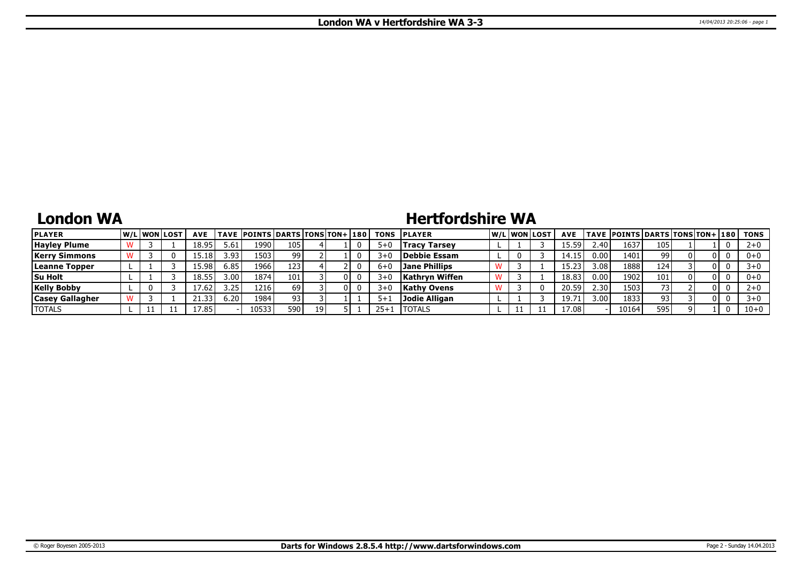## **London WA**

## **Hertfordshire WA**

| <b>PLAYER</b>          |  | <u>IW/LIWONILOST</u> | <b>AVE</b> |       | <b>TAVE POINTS DARTS TONS TON+ 180</b> |     |  |         | <b>TONS PLAYER</b> |  | lw/Llwonllost | <b>AVE</b>     |                | <b>TAVE POINTS DARTS TONS TON+ 180  </b> |     |     | TONS     |
|------------------------|--|----------------------|------------|-------|----------------------------------------|-----|--|---------|--------------------|--|---------------|----------------|----------------|------------------------------------------|-----|-----|----------|
| <b>Hayley Plume</b>    |  |                      | 18.95      | 5.61  | 1990                                   | 105 |  | 5+0     | Tracy Tarsey       |  |               | 15.59          | 2.40           | 1637                                     | 105 |     |          |
| Kerrv Simmons          |  |                      | 15.18      | 3.93. | 1503                                   | 99  |  | $3 + C$ | Debbie Essam       |  |               | 14.1!          | 0.00           | 1401                                     | 99  | 0 I | $0+0$    |
| Leanne Topper          |  |                      | 15.98'     | 6.85  | 1966                                   | 123 |  | 6+L     | Jane Phillips      |  |               |                | 3.08           | 1888                                     | 124 | 0 I |          |
| <b>Su Holt</b>         |  |                      | 18.55      | 3.00  | 1874                                   | 101 |  | $3+0$   | Kathryn Wiffen     |  |               | 18.83          | 0.00           | 1902                                     | 101 | 0 I | $0+0$    |
| <b>Kelly Bobby</b>     |  |                      | 7.62       | 3.25  | 1216                                   | 69  |  | $3 + C$ | <b>Kathy Ovens</b> |  |               | 20.59          | $2.30^{\circ}$ | 1503                                     |     | 0 I |          |
| <b>Casey Gallagher</b> |  |                      | -33        | 6.20  | 1984                                   | 93  |  | $5 + 1$ | Jodie Alligan      |  |               | 19.7           | 3.00           | 1833                                     | 93  | 0 I |          |
| <b>TOTALS</b>          |  |                      | 7.85.      |       | 10533                                  | 590 |  | $25+$   | <b>ITOTALS</b>     |  |               | $^{\circ}7.08$ |                | 10164                                    | 595 |     | $10 + 0$ |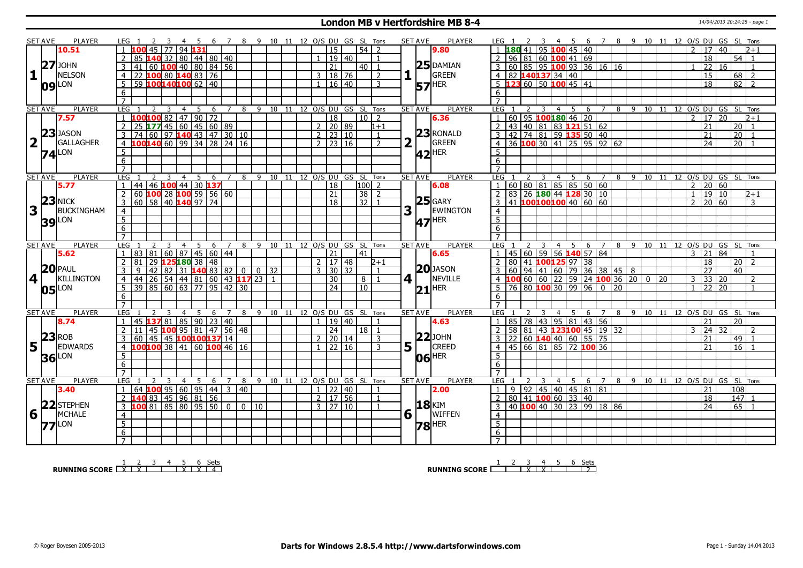#### **London MB v Hertfordshire MB 8-4** 14/04/2013 20:24:25 - page 1

|                         |                | PLAYER              |                                                         |                                           |                 |                       |                                    |  |                                                |       |                  |                |                                |                                 |                                              |                                                             |   |                |                |    |                          |                 |                                |                |
|-------------------------|----------------|---------------------|---------------------------------------------------------|-------------------------------------------|-----------------|-----------------------|------------------------------------|--|------------------------------------------------|-------|------------------|----------------|--------------------------------|---------------------------------|----------------------------------------------|-------------------------------------------------------------|---|----------------|----------------|----|--------------------------|-----------------|--------------------------------|----------------|
|                         | <b>SET AVE</b> | 10.51               | LEG 1<br>-3<br>45<br>77                                 | 94 131                                    |                 |                       | 6 7 8 9 10 11 12 O/S DU GS SL Tons |  | $\overline{15}$                                |       | 54   2           |                |                                | <b>SET AVE</b><br><b>PLAYER</b> | LEG 1<br>$\overline{z}$<br>180<br>41         | 4 5 6 7 8 9 10 11 12 O/S DU GS SL Tons<br>3<br>95 100 45 40 |   |                |                |    |                          | 17 <sup>1</sup> | 40                             | $D+1$          |
|                         |                |                     |                                                         |                                           |                 |                       |                                    |  |                                                |       |                  |                |                                | 9.80                            |                                              |                                                             |   |                |                |    |                          |                 |                                |                |
|                         |                |                     | $\overline{2}$<br>85<br>140 32                          | 80   44   80   40                         |                 |                       |                                    |  | 1 19 40                                        |       |                  | $\overline{1}$ |                                |                                 | $\overline{2}$                               | $96 81 60$ 100 41 69                                        |   |                |                |    |                          | $\overline{18}$ |                                | $54$   1       |
|                         |                | $27$ JOHN           | $\overline{41}$<br>3                                    | 60 100 40 80 84 56                        |                 |                       |                                    |  | $\overline{21}$                                |       | $40$   1         |                |                                | $25$ DAMIAN                     | $3   60   85   95   100   93   36   16   16$ |                                                             |   |                |                |    |                          | $\overline{22}$ | 16                             | $\overline{1}$ |
| $\mathbf{1}$            |                | <b>NELSON</b>       | $\overline{4}$<br>22                                    | 100801408376                              |                 |                       |                                    |  | 3   18   76                                    |       |                  | 2              |                                | GREEN<br>$\mathbf{I}$           | 4 82 140137 34 40                            |                                                             |   |                |                |    |                          | 15              |                                | $68$   2       |
|                         |                | LON                 | 5<br>$\overline{59}$                                    | 100140100 62 40                           |                 |                       |                                    |  |                                                | 16 40 |                  | 3              |                                | HER<br>57                       |                                              | <b>23</b> 60 50 <b>100</b> 45 41                            |   |                |                |    |                          | $\overline{18}$ | $\overline{82}$                | $\overline{2}$ |
|                         | 09             |                     | 6                                                       |                                           |                 |                       |                                    |  |                                                |       |                  |                |                                |                                 | 6                                            |                                                             |   |                |                |    |                          |                 |                                |                |
|                         |                |                     | $\overline{7}$                                          |                                           |                 |                       |                                    |  |                                                |       |                  |                |                                |                                 |                                              |                                                             |   |                |                |    |                          |                 |                                |                |
|                         |                |                     |                                                         |                                           |                 |                       |                                    |  |                                                |       |                  |                |                                |                                 |                                              |                                                             |   |                |                |    |                          |                 |                                |                |
|                         | <b>SET AVE</b> | <b>PLAYER</b>       | LEG 1<br>3                                              | 5<br>$\overline{4}$                       | 6               |                       | 7 8 9 10 11 12 O/S DU GS SL Tons   |  |                                                |       |                  |                |                                | <b>PLAYER</b><br><b>SET AVE</b> | LEG <sub>1</sub><br>$\overline{z}$           | 3 4 5 6 7 8 9 10 11 12 O/S DU GS SL Tons                    |   |                |                |    |                          |                 |                                |                |
|                         |                | 7.57                | LOO <mark>100</mark> 82   47   90   72                  |                                           |                 |                       |                                    |  | $\overline{18}$                                |       | $10\overline{2}$ |                |                                | 6.36                            |                                              | 60 95 100 180 46 20                                         |   |                |                |    | $\mathcal{P}$            | 17              | $\overline{20}$                | $2 + 1$        |
|                         |                |                     | $\overline{2}$<br>25                                    | $177$ 45 60 45 60 89                      |                 |                       |                                    |  | 2   20   89                                    |       |                  | $1 + 1$        |                                |                                 |                                              | 43 40 81 83 121 51 62                                       |   |                |                |    |                          | 21              | 20                             |                |
|                         |                | $23$ JASON          | 74 60 97 140 43 47 30 10<br>$\mathbf{3}$                |                                           |                 |                       |                                    |  | $2 \mid 23 \mid 10$                            |       |                  | $\overline{1}$ |                                | $23$ RONALD                     | $\mathbf{3}$                                 | 42 74 81 59 135 50 40                                       |   |                |                |    |                          | 21              | $\overline{20}$                | $\overline{1}$ |
| $\overline{\mathbf{2}}$ |                | GALLAGHER           | $\frac{100140}{60}$ 60 99 34 28 24 16<br>$\overline{4}$ |                                           |                 |                       |                                    |  | $\overline{2}$ $\overline{23}$ $\overline{16}$ |       |                  | $\overline{2}$ | $\overline{\mathbf{2}}$        | GREEN                           | $\overline{4}$                               | 36 100 30 41 25 95 92 62                                    |   |                |                |    |                          | $\overline{24}$ | $\overline{20}$                |                |
|                         |                |                     | 5                                                       |                                           |                 |                       |                                    |  |                                                |       |                  |                |                                |                                 | $\overline{5}$                               |                                                             |   |                |                |    |                          |                 |                                |                |
|                         |                | $74$ <sup>LON</sup> | 6                                                       |                                           |                 |                       |                                    |  |                                                |       |                  |                |                                | $ 42 $ HER                      | 6                                            |                                                             |   |                |                |    |                          |                 |                                |                |
|                         |                |                     |                                                         |                                           |                 |                       |                                    |  |                                                |       |                  |                |                                |                                 |                                              |                                                             |   |                |                |    |                          |                 |                                |                |
|                         |                |                     | $\overline{7}$                                          |                                           |                 |                       |                                    |  |                                                |       |                  |                |                                |                                 | $\overline{7}$                               |                                                             |   |                |                |    |                          |                 |                                |                |
|                         | <b>SET AVE</b> | <b>PLAYER</b>       | LEG<br>3                                                | 5<br>$\overline{4}$                       | - 6             | $\overline{7}$<br>8   | 9 10 11 12 0/S DU GS SL Tons       |  |                                                |       |                  |                |                                | <b>SET AVE</b><br><b>PLAYER</b> | LEG <sub>1</sub>                             | $\overline{3}$<br>4 5 6 7                                   |   |                | 8 9 10 11      |    |                          |                 | 12 O/S DU GS SL Tons           |                |
|                         |                | 5.77                | 44 46 100 44 30 137<br>$\mathbf{1}$                     |                                           |                 |                       |                                    |  | 18                                             |       | $100$ 2          |                |                                | 6.08                            |                                              |                                                             |   |                |                |    | $2 \mid 20 \mid 60$      |                 |                                |                |
|                         |                |                     | 60<br>$\overline{2}$                                    | 100 28 100 59 56 60                       |                 |                       |                                    |  | 21                                             |       | 38 2             |                |                                |                                 | 2                                            | 83 26 180 44 128 30 10                                      |   |                |                |    | $\overline{1}$           | 19 10           |                                | $2 + 1$        |
|                         |                | $23$ NICK           | 60 58 40 140 97 74<br>3                                 |                                           |                 |                       |                                    |  | 18 <sup>T</sup>                                |       | 3211             |                |                                | $25$ GARY                       |                                              | 41 100100100 40 60 60                                       |   |                |                |    | $2 \mid 20 \mid 60$      |                 |                                | 3              |
| 3                       |                | <b>BUCKINGHAM</b>   | $\overline{4}$                                          |                                           |                 |                       |                                    |  |                                                |       |                  |                | 3                              | <b>EWINGTON</b>                 | $\overline{4}$                               |                                                             |   |                |                |    |                          |                 |                                |                |
|                         |                |                     | $\overline{5}$                                          |                                           |                 |                       |                                    |  |                                                |       |                  |                |                                | Her                             | $\overline{5}$                               |                                                             |   |                |                |    |                          |                 |                                |                |
|                         |                | <b>39</b> LON       | 6                                                       |                                           |                 |                       |                                    |  |                                                |       |                  |                |                                | 47                              | 6                                            |                                                             |   |                |                |    |                          |                 |                                |                |
|                         |                |                     | $\overline{7}$                                          |                                           |                 |                       |                                    |  |                                                |       |                  |                |                                |                                 |                                              |                                                             |   |                |                |    |                          |                 |                                |                |
|                         |                |                     |                                                         |                                           |                 |                       |                                    |  |                                                |       |                  |                |                                |                                 |                                              |                                                             |   |                |                |    |                          |                 |                                |                |
|                         |                |                     |                                                         |                                           |                 |                       |                                    |  |                                                |       |                  |                |                                |                                 |                                              |                                                             |   |                |                |    |                          |                 |                                |                |
|                         | <b>SET AVE</b> | <b>PLAYER</b>       | LEG                                                     | $\overline{4}$<br>5                       | 6               | $\overline{7}$<br>8   | 9 10 11 12 O/S DU GS SL            |  |                                                |       |                  | Tons           | <b>SET AVE</b>                 | <b>PLAYER</b>                   | LEG                                          | 5<br>$\overline{4}$                                         |   | 6 7            |                |    |                          |                 | 8 9 10 11 12 O/S DU GS SL Tons |                |
|                         |                | 5.62                | 81   60   87 <br>83<br>$\mathbf{1}$                     |                                           | $145 \ 60 \ 44$ |                       |                                    |  | 21                                             |       | 41               |                |                                | 6.65                            |                                              | 45 60 59 56 140 57 84                                       |   |                |                |    | $3 \mid 21 \mid 84 \mid$ |                 |                                | $\overline{1}$ |
|                         |                |                     | $\overline{2}$<br>29<br>81                              | 125 180 38 48                             |                 |                       |                                    |  | 2   17   48                                    |       |                  | $2+1$          |                                |                                 | 80<br>$\overline{2}$                         | 41 100125 97 38                                             |   |                |                |    |                          | 18              | 20                             | $\overline{2}$ |
|                         |                | $20$ PAUL           | 42<br>$\overline{3}$<br>$\mathsf{q}$                    | 82   31   <b>140</b> 83   82   0   0   32 |                 |                       |                                    |  | $3 \mid 30 \mid 32$                            |       |                  | $\overline{1}$ |                                | $20$ JASON                      |                                              |                                                             |   |                |                |    |                          | 27              | 40 <sup>1</sup>                |                |
|                         |                | KILLINGTON          | $\overline{4}$<br>44                                    |                                           |                 |                       |                                    |  | 30                                             |       | 8   1            |                |                                | NEVILLE                         |                                              |                                                             |   |                | $\overline{0}$ | 20 | $3 \mid 33 \mid 20$      |                 |                                | $\overline{2}$ |
|                         | 4              |                     | 39                                                      | $26$ 54 44 81 60 43 117 23 1              |                 |                       |                                    |  | 24                                             |       | 10               |                | $4$   $\overline{\phantom{0}}$ |                                 |                                              |                                                             |   |                |                |    | $\overline{1}$           | $\overline{22}$ | 20                             | $\overline{1}$ |
|                         |                | $05$ <sup>LON</sup> | 5                                                       | $\boxed{85}$ 60 63 77 95 42 30            |                 |                       |                                    |  |                                                |       |                  |                |                                | <b>HER</b><br>21                | $5 \mid 76 \mid 80$ 100 30 99 96 0 20        |                                                             |   |                |                |    |                          |                 |                                |                |
|                         |                |                     | 6                                                       |                                           |                 |                       |                                    |  |                                                |       |                  |                |                                |                                 | 6                                            |                                                             |   |                |                |    |                          |                 |                                |                |
|                         |                |                     | $\overline{7}$                                          |                                           |                 |                       |                                    |  |                                                |       |                  |                |                                |                                 | $\overline{7}$                               |                                                             |   |                |                |    |                          |                 |                                |                |
|                         | <b>SET AVE</b> | <b>PLAYER</b>       | LEG<br>3                                                | 5                                         | 6               | $\overline{7}$        | 8 9 10 11 12 0/S DU GS SL Tons     |  |                                                |       |                  |                |                                | <b>SET AVE</b><br><b>PLAYER</b> | LEG 1                                        | 5<br>3<br>4                                                 | 6 | $\overline{7}$ |                |    |                          |                 | 8 9 10 11 12 0/S DU GS SL Tons |                |
|                         |                | 8.74                | 1378185<br>45<br>$\mathbf{1}$                           |                                           | $90$ 23 40      |                       |                                    |  | $\overline{1}$                                 | 19 40 |                  | $\mathbf{1}$   |                                | 4.63                            | 1 <sup>1</sup>                               | 85 78 43 95 81 43 56                                        |   |                |                |    |                          | $\overline{21}$ | 20                             |                |
|                         |                |                     | $\overline{2}$<br>11<br>45                              | $100$ 95 81 47 56 48                      |                 |                       |                                    |  | $\overline{24}$                                |       | $18$   1         |                |                                |                                 | 2 <sup>1</sup>                               | 58 81 43 123100 45 19 32                                    |   |                |                |    | $\overline{3}$           | $\overline{24}$ | 32                             | 2              |
|                         | 23             | <b>ROB</b>          | 60<br>3                                                 | 45   45   100 100 137 14                  |                 |                       |                                    |  | 2   20   14                                    |       |                  | 3              |                                | $22$ JOHN                       | 3                                            | 22   60   140   40   60   55   75                           |   |                |                |    |                          | 21              | 49                             |                |
|                         |                | <b>EDWARDS</b>      | 100100 38 41 60 100 46 16<br>$\overline{4}$             |                                           |                 |                       |                                    |  |                                                | 22 16 |                  | $\overline{3}$ |                                | CREED                           | $45 \ 66 \ 81$                               | 85 72 100 36                                                |   |                |                |    |                          | $\overline{21}$ | 16                             |                |
| 5                       |                |                     | 5                                                       |                                           |                 |                       |                                    |  |                                                |       |                  |                | 5                              |                                 | $5\overline{5}$                              |                                                             |   |                |                |    |                          |                 |                                |                |
|                         |                | <b>36</b> LON       |                                                         |                                           |                 |                       |                                    |  |                                                |       |                  |                |                                | $ 06 $ HER                      |                                              |                                                             |   |                |                |    |                          |                 |                                |                |
|                         |                |                     | $\overline{6}$                                          |                                           |                 |                       |                                    |  |                                                |       |                  |                |                                |                                 | 6                                            |                                                             |   |                |                |    |                          |                 |                                |                |
|                         |                |                     | $\overline{7}$                                          |                                           |                 |                       |                                    |  |                                                |       |                  |                |                                |                                 | $\overline{7}$                               |                                                             |   |                |                |    |                          |                 |                                |                |
|                         | <b>SET AVE</b> | PLAYER              | LEG <sub>1</sub><br>$\mathcal{L}$<br>-3                 | $\overline{4}$<br>5                       | 6               | $\overline{7}$<br>- 8 | 9 10 11 12 O/S DU GS SL Tons       |  |                                                |       |                  |                |                                | <b>PLAYER</b><br><b>SET AVE</b> | LEG <sub>1</sub>                             | 4 5 6<br>$\overline{\mathbf{3}}$                            |   | $\overline{7}$ | 8 9 10 11      |    |                          |                 | 12 O/S DU GS SL Tons           |                |
|                         |                | 3.40                | 64 <b>100</b> 95 60 95 44 3 40<br>$\mathbf{1}$          |                                           |                 |                       |                                    |  | 1 22 40                                        |       |                  | $\mathbf{1}$   |                                | 2.00                            | 9                                            | 92 45 40 45 81 81                                           |   |                |                |    |                          | 21              | 108                            |                |
|                         |                |                     | 140 83 45 96 81 56<br>$\overline{2}$                    |                                           |                 |                       |                                    |  | 2   17   56                                    |       |                  | $\overline{1}$ |                                |                                 | $\mathcal{P}$                                | 80 41 100 60 33 40                                          |   |                |                |    |                          | $\overline{18}$ |                                | $147$ 1        |
|                         |                | 22STEPHEN           | 10081858095500001010<br>$\overline{3}$                  |                                           |                 |                       |                                    |  | $3 \mid 27 \mid 10$                            |       |                  | $\overline{1}$ |                                | <b>18</b> KIM                   | 3                                            | 40 100 40 30 23 99 18 86                                    |   |                |                |    |                          | $\overline{24}$ |                                | $65$   1       |
| 6                       |                | <b>MCHALE</b>       | $\overline{4}$                                          |                                           |                 |                       |                                    |  |                                                |       |                  |                | 6                              | WIFFEN                          | $\overline{4}$                               |                                                             |   |                |                |    |                          |                 |                                |                |
|                         |                |                     | $\overline{5}$                                          |                                           |                 |                       |                                    |  |                                                |       |                  |                |                                |                                 | $\overline{5}$                               |                                                             |   |                |                |    |                          |                 |                                |                |
|                         |                | $77$ <sup>LON</sup> |                                                         |                                           |                 |                       |                                    |  |                                                |       |                  |                |                                | <b>HER</b><br>78                |                                              |                                                             |   |                |                |    |                          |                 |                                |                |
|                         |                |                     | 6<br>$\overline{7}$                                     |                                           |                 |                       |                                    |  |                                                |       |                  |                |                                |                                 | $6\overline{6}$<br>$\overline{7}$            |                                                             |   |                |                |    |                          |                 |                                |                |

**RUNNING SCORE** 1 X 2 X 3 4 5 X 6 X Sets 4

**RUNNING SCORE**  $\begin{array}{|c|c|c|c|c|}\n\hline\n & 2 & 3 & 4 & 5 & 6 & \text{Sets}} \\
\hline\n\end{array}$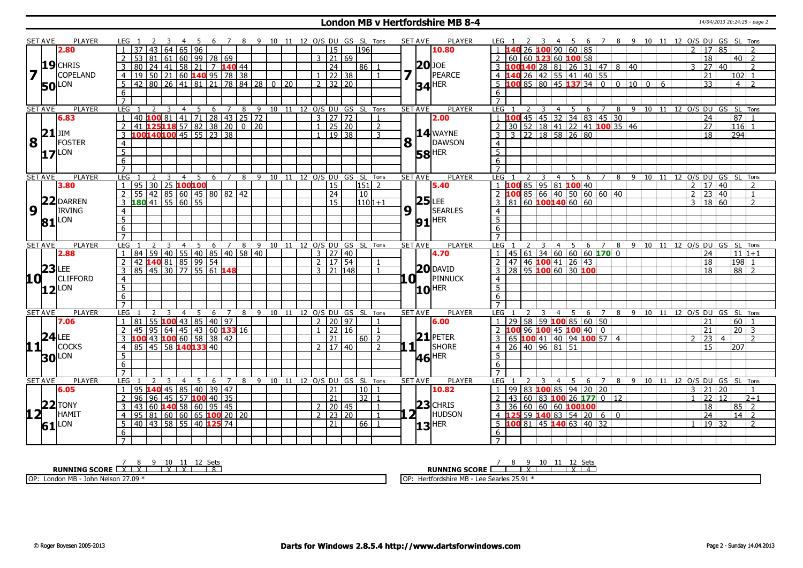#### **London MB v Hertfordshire MB 8-4** 14/04/2013 20:24:25 - page 2

|                 | SET AVE         | PLAYER              | LEG 1           |                          |                |                         |                | -5          | -6                                                                                                           | $\overline{7}$ |   |          |                  |    |              |                      |       |                                  | 8 9 10 11 12 O/S DU GS SL Tons |   |              | SET AVE             | PLAYER              |                         |          |              |                         |                  | 45             | 6                                                   |                |   |                              |                                                |   | 7 8 9 10 11 12 O/S DU GS SL Tons       |                 |                     |                |                 |                |
|-----------------|-----------------|---------------------|-----------------|--------------------------|----------------|-------------------------|----------------|-------------|--------------------------------------------------------------------------------------------------------------|----------------|---|----------|------------------|----|--------------|----------------------|-------|----------------------------------|--------------------------------|---|--------------|---------------------|---------------------|-------------------------|----------|--------------|-------------------------|------------------|----------------|-----------------------------------------------------|----------------|---|------------------------------|------------------------------------------------|---|----------------------------------------|-----------------|---------------------|----------------|-----------------|----------------|
|                 |                 | 2.80                |                 | $37$   43   64   65   96 |                |                         |                |             |                                                                                                              |                |   |          |                  |    |              | $\overline{15}$      |       | 1196                             |                                |   |              |                     | 10.80               |                         |          |              |                         |                  |                | 26 $100$ 90 60 85                                   |                |   |                              |                                                |   |                                        |                 | 17 85               |                |                 |                |
|                 |                 |                     | 2               |                          |                |                         |                |             | $53 \ 81 \ 61 \ 60 \ 99 \ 78 \ 69$                                                                           |                |   |          |                  |    |              | $3 \mid 21 \mid 69$  |       |                                  |                                |   |              |                     |                     | 2                       |          |              |                         |                  |                | 60 60 123 60 100 58                                 |                |   |                              |                                                |   |                                        |                 | $\overline{18}$     |                | $40$   2        |                |
|                 |                 | $19$ CHRIS          | $\overline{3}$  |                          |                |                         |                |             | 80 24 41 58 21 7 140 44                                                                                      |                |   |          |                  |    |              | $\overline{24}$      |       | $86$   1                         |                                |   |              | $ 20 $ JOE          |                     |                         |          |              |                         |                  |                |                                                     |                |   | 3 100140 28 81 26 31 47 8 40 |                                                |   | 3                                      |                 | 27                  | 40             |                 | $\overline{2}$ |
| $7\overline{1}$ |                 | <b>COPELAND</b>     | $\overline{4}$  |                          |                |                         |                |             | $19\overline{)50}$ 21 60 <b>140</b> 95 78 38                                                                 |                |   |          |                  |    |              | $1 \mid 22 \mid 38$  |       |                                  | $\overline{1}$                 | 7 |              |                     | PEARCE              |                         | 4140     |              |                         |                  |                | $26$ 42 55 41 40 55                                 |                |   |                              |                                                |   |                                        | 21              |                     |                | $102$ 1         |                |
|                 |                 |                     | 5               | 42 80 26 41 81           |                |                         |                |             | $\overline{21}$                                                                                              |                |   | 78 84 28 | 0 <sup>120</sup> |    |              | $2$ 32 20            |       |                                  |                                |   |              | $34$ <sup>HER</sup> |                     |                         | $5\,100$ |              |                         |                  |                | 85 80 45 137 34 0                                   |                |   |                              | $\begin{array}{c c} 0 & 10 & 0 \\ \end{array}$ | 6 |                                        | $\overline{33}$ |                     |                | 4               | $\overline{2}$ |
|                 |                 | <b>50</b> LON       | 6               |                          |                |                         |                |             |                                                                                                              |                |   |          |                  |    |              |                      |       |                                  |                                |   |              |                     |                     | 6                       |          |              |                         |                  |                |                                                     |                |   |                              |                                                |   |                                        |                 |                     |                |                 |                |
|                 |                 |                     | $\overline{7}$  |                          |                |                         |                |             |                                                                                                              |                |   |          |                  |    |              |                      |       |                                  |                                |   |              |                     |                     | $\overline{7}$          |          |              |                         |                  |                |                                                     |                |   |                              |                                                |   |                                        |                 |                     |                |                 |                |
|                 | <b>SET AVE</b>  | <b>PLAYER</b>       | LEG 1           |                          | <sup>2</sup>   | $\overline{\mathbf{3}}$ | $\overline{4}$ | $5^{\circ}$ | 6                                                                                                            |                |   |          |                  |    |              |                      |       | 7 8 9 10 11 12 0/S DU GS SL Tons |                                |   |              | <b>SET AVE</b>      | <b>PLAYER</b>       | LEG 1                   |          | <sup>2</sup> | $\overline{\mathbf{3}}$ |                  | 4 <sub>5</sub> |                                                     |                |   |                              |                                                |   | 6 7 8 9 10 11 12 0/S DU GS SL Tons     |                 |                     |                |                 |                |
|                 |                 | 6.83                |                 |                          |                |                         |                |             |                                                                                                              |                |   |          |                  |    |              | $3 \mid 27 \mid 72$  |       |                                  |                                |   |              |                     | 2.00                |                         |          |              |                         |                  |                | 1 100 45 45 32 34 83 45 30                          |                |   |                              |                                                |   |                                        | $\overline{24}$ |                     |                | $\overline{87}$ | $\overline{1}$ |
|                 |                 |                     | 2               |                          |                |                         |                |             | 40 <mark>  100</mark>   81   41   71   28   43   25   72<br>  41   <b>125 118</b> 57   82   38   20   0   20 |                |   |          |                  |    |              | $1 \ 25 \ 20$        |       |                                  | $\overline{2}$                 |   |              |                     |                     | $\overline{2}$          |          |              |                         |                  |                |                                                     |                |   | 30 52 18 41 22 41 100 35 46  |                                                |   |                                        | 27              |                     |                | $116$ $1$       |                |
|                 | 21              | JIM                 |                 |                          |                |                         |                |             | 100140100 45 55 23 38                                                                                        |                |   |          |                  |    | $\mathbf{1}$ | 19 38                |       |                                  | 3                              |   |              |                     | $14$ WAYNE          | $\overline{\mathsf{3}}$ |          |              |                         |                  |                | $3 \ 22 \ 18 \ 58 \ 26 \ 80$                        |                |   |                              |                                                |   |                                        |                 | $\overline{18}$     |                | 294             |                |
| <b>8</b>        |                 | FOSTER              | 4               |                          |                |                         |                |             |                                                                                                              |                |   |          |                  |    |              |                      |       |                                  |                                | 8 |              |                     | DAWSON              | $\overline{4}$          |          |              |                         |                  |                |                                                     |                |   |                              |                                                |   |                                        |                 |                     |                |                 |                |
|                 |                 |                     | 5               |                          |                |                         |                |             |                                                                                                              |                |   |          |                  |    |              |                      |       |                                  |                                |   |              |                     |                     | $\overline{5}$          |          |              |                         |                  |                |                                                     |                |   |                              |                                                |   |                                        |                 |                     |                |                 |                |
|                 |                 | $17$ <sup>LON</sup> | 6               |                          |                |                         |                |             |                                                                                                              |                |   |          |                  |    |              |                      |       |                                  |                                |   |              | <b>58 HER</b>       |                     | 6                       |          |              |                         |                  |                |                                                     |                |   |                              |                                                |   |                                        |                 |                     |                |                 |                |
|                 |                 |                     | $\overline{7}$  |                          |                |                         |                |             |                                                                                                              |                |   |          |                  |    |              |                      |       |                                  |                                |   |              |                     |                     | $\overline{7}$          |          |              |                         |                  |                |                                                     |                |   |                              |                                                |   |                                        |                 |                     |                |                 |                |
|                 | <b>SET AVE</b>  | <b>PLAYER</b>       | LEG             |                          |                |                         | $\overline{4}$ | 5           | 6                                                                                                            | $\overline{7}$ | 8 | 9        | 10               | 11 |              |                      |       | 12 O/S DU GS SL Tons             |                                |   |              | <b>SET AVE</b>      | <b>PLAYER</b>       | LEG                     |          |              |                         | $\overline{4}$   |                | 5<br>6                                              | $\overline{7}$ | 8 |                              | 9 10 11                                        |   | 12 O/S DU GS SL Tons                   |                 |                     |                |                 |                |
|                 |                 | 3.80                | $\mathbf{1}$    | 95 30 25 100 100         |                |                         |                |             |                                                                                                              |                |   |          |                  |    |              | 15                   |       | $151$ 2                          |                                |   |              |                     | 5.40                |                         |          |              |                         |                  |                | 1 <b>100</b> 85 95 81 <b>100</b> 40                 |                |   |                              |                                                |   |                                        |                 | $2 \mid 17 \mid 40$ |                |                 | $\overline{2}$ |
|                 |                 |                     | 2               |                          |                |                         |                |             | 55 42 85 60 45 80 82 42                                                                                      |                |   |          |                  |    |              | 24                   |       | 10                               |                                |   |              |                     |                     |                         |          |              |                         |                  |                |                                                     |                |   |                              |                                                |   |                                        |                 | $2 \mid 23 \mid 40$ |                |                 | $\mathbf{1}$   |
|                 |                 | 22 DARREN           | 3               | $180$ 41 55 60 55        |                |                         |                |             |                                                                                                              |                |   |          |                  |    |              | 15                   |       |                                  | $1101+1$                       |   |              |                     | 25 LEE<br>  SEARLES |                         |          |              |                         |                  |                | 2 100 85 66 40 50 60 60 40<br>3 81 60 100 140 60 60 |                |   |                              |                                                |   |                                        |                 | 3   18   60         |                |                 | $\overline{2}$ |
| 9               |                 | <b>IRVING</b>       | $\overline{4}$  |                          |                |                         |                |             |                                                                                                              |                |   |          |                  |    |              |                      |       |                                  |                                | 9 |              |                     |                     | $\overline{4}$          |          |              |                         |                  |                |                                                     |                |   |                              |                                                |   |                                        |                 |                     |                |                 |                |
|                 |                 | LON                 | 5               |                          |                |                         |                |             |                                                                                                              |                |   |          |                  |    |              |                      |       |                                  |                                |   |              |                     |                     | $\overline{5}$          |          |              |                         |                  |                |                                                     |                |   |                              |                                                |   |                                        |                 |                     |                |                 |                |
|                 | 81              |                     | 6               |                          |                |                         |                |             |                                                                                                              |                |   |          |                  |    |              |                      |       |                                  |                                |   |              | $91$ HER            |                     | 6                       |          |              |                         |                  |                |                                                     |                |   |                              |                                                |   |                                        |                 |                     |                |                 |                |
|                 |                 |                     | $\overline{7}$  |                          |                |                         |                |             |                                                                                                              |                |   |          |                  |    |              |                      |       |                                  |                                |   |              |                     |                     | $\overline{7}$          |          |              |                         |                  |                |                                                     |                |   |                              |                                                |   |                                        |                 |                     |                |                 |                |
|                 | <b>SET AVE</b>  | <b>PLAYER</b>       | LEG             |                          | $\overline{2}$ | $\overline{3}$          |                | 45          |                                                                                                              | 6 7 8          |   |          |                  |    |              |                      |       | 9 10 11 12 O/S DU GS SL Tons     |                                |   |              | <b>SET AVE</b>      | <b>PLAYER</b>       | <b>LEG</b>              |          |              |                         |                  |                |                                                     |                |   |                              |                                                |   | 4 5 6 7 8 9 10 11 12 O/S DU GS SL Tons |                 |                     |                |                 |                |
|                 |                 | 2.88                |                 |                          |                |                         |                |             |                                                                                                              |                |   |          |                  |    |              | $3 \mid 27 \mid 40$  |       |                                  |                                |   |              |                     | 4.70                | $\overline{1}$          |          |              |                         |                  |                | 45   61   34   60   60   60 <b>170</b> 0            |                |   |                              |                                                |   |                                        |                 | 24                  |                | $11 1+1$        |                |
|                 |                 |                     |                 |                          |                |                         |                |             | 84   59   40   55   40   85   40   58   40<br>  42 <b>140</b> 81   85   99   54                              |                |   |          |                  |    |              | 2   17   54          |       |                                  |                                |   |              |                     |                     | $\overline{2}$          |          |              |                         |                  |                | 47   46 <mark>100</mark> 41   26   43               |                |   |                              |                                                |   |                                        | 18              |                     |                | 198             |                |
|                 | $\overline{23}$ | <b>EE</b>           | $\overline{3}$  |                          |                |                         |                |             | 85 45 30 77 55 61 148                                                                                        |                |   |          |                  |    |              | $3 \mid 21 \mid 148$ |       |                                  |                                |   |              | $20$ DAVID          |                     |                         |          |              |                         |                  |                | $3 \ 28 \ 95 \ 100 \ 60 \ 30 \ 100$                 |                |   |                              |                                                |   |                                        |                 | 18                  |                | 88 <sup>1</sup> | $\overline{2}$ |
| 10 I            |                 | <b>CLIFFORD</b>     | $\overline{4}$  |                          |                |                         |                |             |                                                                                                              |                |   |          |                  |    |              |                      |       |                                  |                                |   | .OI 1        |                     | PINNUCK             | $\overline{4}$          |          |              |                         |                  |                |                                                     |                |   |                              |                                                |   |                                        |                 |                     |                |                 |                |
|                 |                 | $12$ <sup>LON</sup> | 5 <sup>5</sup>  |                          |                |                         |                |             |                                                                                                              |                |   |          |                  |    |              |                      |       |                                  |                                |   |              | $10$ <sup>HER</sup> |                     | $\overline{5}$          |          |              |                         |                  |                |                                                     |                |   |                              |                                                |   |                                        |                 |                     |                |                 |                |
|                 |                 |                     | $6\overline{6}$ |                          |                |                         |                |             |                                                                                                              |                |   |          |                  |    |              |                      |       |                                  |                                |   |              |                     |                     | 6                       |          |              |                         |                  |                |                                                     |                |   |                              |                                                |   |                                        |                 |                     |                |                 |                |
|                 |                 |                     | $\overline{7}$  |                          |                |                         |                |             |                                                                                                              |                |   |          |                  |    |              |                      |       |                                  |                                |   |              |                     |                     | $\overline{7}$          |          |              |                         |                  |                |                                                     |                |   |                              |                                                |   |                                        |                 |                     |                |                 |                |
|                 | <b>SET AVE</b>  | PLAYER              | <b>LEG</b>      |                          |                | ्र                      | $\overline{4}$ | - 5         | 6                                                                                                            | 7              | 8 | 9 10     |                  | 11 |              |                      |       | 12 O/S DU GS SL Tons             |                                |   |              | <b>SET AVE</b>      | <b>PLAYER</b>       | <b>LEG</b>              |          |              |                         | $\overline{4}$   | - 5            | 6                                                   | $\overline{7}$ |   |                              |                                                |   | 8 9 10 11 12 O/S DU GS SL Tons         |                 |                     |                |                 |                |
|                 |                 | 7.06                | $\mathbf{1}$    | 81                       |                |                         |                |             | $\overline{55}$ 100 43 85 40 97                                                                              |                |   |          |                  |    |              | $2 \mid 20 \mid 97$  |       |                                  | $\overline{1}$                 |   |              |                     | 6.00                | $\mathbf{1}$            |          |              |                         |                  |                | $29$ 58 59 100 85 60 50                             |                |   |                              |                                                |   |                                        | 21              |                     |                | 60              | $\overline{1}$ |
|                 |                 |                     | 2               |                          |                |                         |                |             | 45 95 64 45 43 60 133 16                                                                                     |                |   |          |                  |    | $\mathbf{1}$ |                      | 22 16 |                                  | $\overline{1}$                 |   |              |                     |                     |                         |          |              |                         |                  |                | 2 100 96 100 45 100 40 0                            |                |   |                              |                                                |   |                                        | 21              |                     |                | 20 <sup>1</sup> | -3             |
|                 |                 | $24$ LEE            | 3               |                          |                |                         |                |             |                                                                                                              |                |   |          |                  |    |              | $\overline{21}$      |       | $60$   2                         |                                |   |              | $21$ PETER          |                     |                         |          |              |                         |                  |                | 3 65 100 41 40 94 100 57 4                          |                |   |                              |                                                |   | $\mathcal{P}$                          | 23              |                     | $\overline{a}$ |                 | $\mathcal{L}$  |
| 11              |                 | <b>COCKS</b>        | $\overline{4}$  |                          |                |                         |                |             | 85 45 58 140 133 40                                                                                          |                |   |          |                  |    |              | $2 \mid 17 \mid 40$  |       |                                  | $\overline{z}$                 |   | $\mathbf{1}$ |                     | SHORE               |                         |          |              |                         | 4 26 40 96 81 51 |                |                                                     |                |   |                              |                                                |   |                                        |                 | 15                  |                | 2071            |                |
|                 |                 | <b>30</b> LON       | 5               |                          |                |                         |                |             |                                                                                                              |                |   |          |                  |    |              |                      |       |                                  |                                |   |              | $46$ <sup>HER</sup> |                     | 5                       |          |              |                         |                  |                |                                                     |                |   |                              |                                                |   |                                        |                 |                     |                |                 |                |
|                 |                 |                     | 6               |                          |                |                         |                |             |                                                                                                              |                |   |          |                  |    |              |                      |       |                                  |                                |   |              |                     |                     | 6                       |          |              |                         |                  |                |                                                     |                |   |                              |                                                |   |                                        |                 |                     |                |                 |                |
|                 |                 |                     |                 |                          |                |                         |                |             |                                                                                                              |                |   |          |                  |    |              |                      |       |                                  |                                |   |              |                     |                     |                         |          |              |                         |                  |                |                                                     |                |   |                              |                                                |   |                                        |                 |                     |                |                 |                |
|                 | <b>SET AVE</b>  | PLAYER              | LEG             |                          |                | 3                       | $\overline{4}$ | 5           | 6                                                                                                            | $\overline{7}$ | 8 | 9        | 10               | 11 |              |                      |       | 12 O/S DU GS SL Tons             |                                |   |              | <b>SET AVE</b>      | <b>PLAYER</b>       | <b>LEG</b>              |          |              |                         | $\overline{4}$   | - 5            | 6                                                   | $\overline{7}$ | 8 | 9                            |                                                |   | 10 11 12 O/S DU GS SL Tons             |                 |                     |                |                 |                |
|                 |                 | 6.05                | $\mathbf{1}$    |                          |                |                         |                |             | 95 $140$ 45 85 40 39 47                                                                                      |                |   |          |                  |    |              | 21                   |       | 10 <sup>1</sup>                  |                                |   |              |                     | 10.82               | $\overline{1}$          |          |              |                         |                  |                | 99 83 <b>100</b> 85 94 20 20                        |                |   |                              |                                                |   |                                        |                 | 3   21   20         |                |                 | $\overline{1}$ |
|                 |                 |                     | 2               | 96                       |                |                         |                |             | $96$ 45 57 100 40 35                                                                                         |                |   |          |                  |    |              | $\overline{21}$      |       | 32                               | $\overline{1}$                 |   |              |                     |                     | <sup>2</sup>            |          |              |                         |                  |                | 43 60 83 100 26 177 0 12                            |                |   |                              |                                                |   |                                        | 22              |                     | 12             |                 | $2 + 1$        |
|                 |                 | $22$ TONY           | 3               |                          |                |                         |                |             | $43$ 60 <b>140</b> 58 60 95 45                                                                               |                |   |          |                  |    |              | $2 \mid 20 \mid 45$  |       |                                  | $\overline{1}$                 |   |              | $ 23 $ CHRIS        |                     | $\overline{3}$          |          |              |                         |                  |                | $36 60 60 60$ 100100                                |                |   |                              |                                                |   |                                        |                 | 18                  |                | 85 l            | $\overline{z}$ |
| 12 <sup>T</sup> |                 | HAMIT               | $\overline{4}$  |                          |                |                         |                |             | 95 81 60 60 65 100 20 20                                                                                     |                |   |          |                  |    |              | $2 \mid 23 \mid 20$  |       |                                  | $\overline{1}$                 |   |              |                     | HUDSON              |                         |          |              |                         |                  |                | $\overline{4}$ 125 59 140 83 54 20 6 0              |                |   |                              |                                                |   |                                        |                 | $\overline{24}$     |                | $14$   2        |                |
|                 | 61              | LON                 | $5^{\circ}$     |                          |                |                         |                |             | 40 43 58 55 40 125 74                                                                                        |                |   |          |                  |    |              | $\overline{21}$      |       | $66$   1                         |                                |   |              | $ 13 $ HER          |                     |                         |          |              |                         |                  |                | $-5$ 100 81 45 140 63 40 32                         |                |   |                              |                                                |   |                                        |                 | $\boxed{19}$        |                |                 | $\overline{2}$ |
|                 |                 |                     | 6               |                          |                |                         |                |             |                                                                                                              |                |   |          |                  |    |              |                      |       |                                  |                                |   |              |                     |                     | 6                       |          |              |                         |                  |                |                                                     |                |   |                              |                                                |   |                                        |                 |                     |                |                 |                |
|                 |                 |                     | $\overline{7}$  |                          |                |                         |                |             |                                                                                                              |                |   |          |                  |    |              |                      |       |                                  |                                |   |              |                     |                     | $\overline{7}$          |          |              |                         |                  |                |                                                     |                |   |                              |                                                |   |                                        |                 |                     |                |                 |                |
|                 |                 |                     |                 |                          |                |                         |                |             |                                                                                                              |                |   |          |                  |    |              |                      |       |                                  |                                |   |              |                     |                     |                         |          |              |                         |                  |                |                                                     |                |   |                              |                                                |   |                                        |                 |                     |                |                 |                |

| ---                                                        | Sets                                         |
|------------------------------------------------------------|----------------------------------------------|
| <b>RUNNING SCORE</b><br>$\ddot{\phantom{1}}$               | <b>RUNNING SCORE</b>                         |
| 27.09 <sup>*</sup><br>OP:<br>· John Nelson 2.<br>London MB | Hertfordshire MB - Lee Searles 25.91<br>l OP |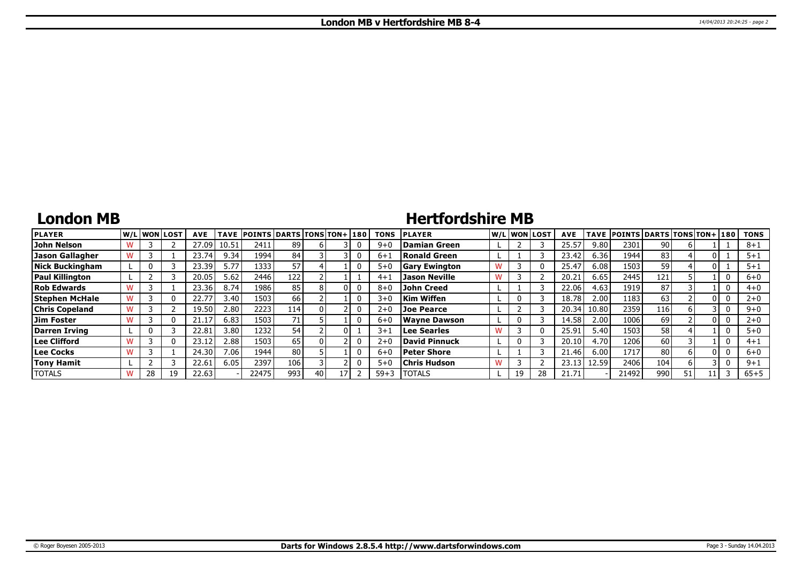### **London MB**

# **Hertfordshire MB**

| <b>PLAYER</b>          |    | W/Liwonilost | <b>AVE</b> |       | TAVE POINTS DARTS TONS TON+ 180 |     |    |    | <b>TONS</b> | <b>IPLAYER</b>       |    | W/Liwonilost! | <b>AVE</b> |       | TAVE  POINTS   DARTS   TONS   TON+   180 |      |    |   | <b>TONS</b> |
|------------------------|----|--------------|------------|-------|---------------------------------|-----|----|----|-------------|----------------------|----|---------------|------------|-------|------------------------------------------|------|----|---|-------------|
| John Nelson            |    |              | 27.09 l    | 10.51 | 2411                            | 89  |    |    | $9 + 0$     | Damian Green         |    |               | 25.57      | 9.80  | 2301                                     | 90 l |    |   | $8 + 1$     |
| Jason Gallagher        |    |              | 23.74      | 9.34  | 1994                            | 84  |    |    | $6+1$       | Ronald Green         |    |               | 23.42      | 6.36  | 1944                                     | 83   |    |   | $5 + 1$     |
| Nick Buckingham        |    |              | 23.39      | 5.77  | 1333                            | 57  |    |    | $5 + 0$     | <b>Gary Ewington</b> |    |               | 25.47      | 6.08  | 1503                                     | 59 l |    |   | $5 + 1$     |
| <b>Paul Killington</b> |    |              | 20.05      | 5.62  | 2446                            | 122 |    |    | $4 + 1$     | <b>Jason Neville</b> |    |               | 20.21      | 6.65  | 2445                                     | 121  |    |   | $6 + 0$     |
| <b>Rob Edwards</b>     |    |              | 23.36      | 8.74  | 1986                            | 85  |    |    | $8 + 0$     | <b>John Creed</b>    |    |               | 22.06      | 4.63  | 1919                                     | 87   |    | 0 | $4 + 0$     |
| Stephen McHale         |    |              | 22.77      | 3.40  | 1503                            | 66  |    |    | $3 + 0$     | Kim Wiffen           | 0  |               | 18.78      | 2.00  | 1183                                     | 63   |    |   | $2 + 0$     |
| <b>Chris Copeland</b>  |    |              | 19.50      | 2.80  | 2223                            | 114 |    |    | $2+0$       | <b>Joe Pearce</b>    |    |               | 20.34      | 10.80 | 2359                                     | 116  |    |   | $9 + 0$     |
| Jim Foster             |    |              | 21.17      | 6.83  | 1503                            | 71  |    |    | $6 + 0$     | <b>Wavne Dawson</b>  | 0  |               | 14.58      | 2.00  | 1006                                     | 69   |    | 0 | $2 + 0$     |
| Darren Irving          |    |              | 22.81      | 3.80  | 1232                            | 54  |    |    | $3 + 1$     | Lee Searles          |    |               | 25.91      | 5.40  | 1503                                     | 58 l |    |   | $5 + 0$     |
| Lee Clifford           |    |              | 23.12      | 2.88  | 1503                            | 65  |    |    | $2+0$       | David Pinnuck        | 0  |               | 20.10      | 4.70  | 1206                                     | 60 l |    | 0 | $4 + 1$     |
| Lee Cocks              |    |              | 24.30      | 7.06. | 1944                            | 80  |    |    | $6 + 0$     | Peter Shore          |    |               | 21.46      | 6.00  | 1717                                     | 80   |    |   | $6 + 0$     |
| <b>Tony Hamit</b>      |    |              | 22.61      | 6.05  | 2397                            | 106 |    |    | $5 + 0$     | <b>Chris Hudson</b>  |    |               | 23.13      | 12.59 | 2406                                     | 104  |    |   | $9 + 1$     |
| <b>TOTALS</b>          | 28 | 19           | 22.63      |       | 22475                           | 993 | 40 | 17 | $59 + 3$    | <b>TOTALS</b>        | 19 | 28            | 21.71      |       | 21492                                    | 990  | 51 |   | $65 + 5$    |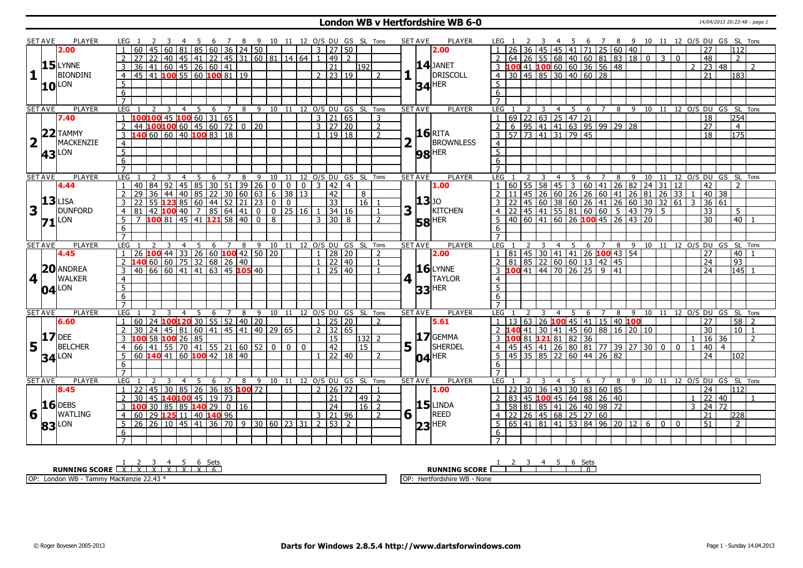#### **London WB v Hertfordshire WB 6-0** 14/04/2013 20:23:48 - page 1

|                         | <b>SET AVE</b> | <b>PLAYER</b>       | LEG 1          |                                                                       |                                                                        |   |                |                |   |     |                |   |                                                             |                |             |       |                                    |                          |                                | 4 5 6 7 8 9 10 11 12 O/S DU GS SL Tons |                  | <b>SET AVE</b>     | <b>PLAYER</b>        | LEG 1             |    |       | - 3 |                                                                 |                                                                             |                   |                |             |                                                                                                                                                                                                                                                     |                 |                 |              |                 |                                                                                   |                   |                |
|-------------------------|----------------|---------------------|----------------|-----------------------------------------------------------------------|------------------------------------------------------------------------|---|----------------|----------------|---|-----|----------------|---|-------------------------------------------------------------|----------------|-------------|-------|------------------------------------|--------------------------|--------------------------------|----------------------------------------|------------------|--------------------|----------------------|-------------------|----|-------|-----|-----------------------------------------------------------------|-----------------------------------------------------------------------------|-------------------|----------------|-------------|-----------------------------------------------------------------------------------------------------------------------------------------------------------------------------------------------------------------------------------------------------|-----------------|-----------------|--------------|-----------------|-----------------------------------------------------------------------------------|-------------------|----------------|
|                         |                | 2.00                |                |                                                                       |                                                                        |   |                |                |   |     |                |   | 81 85 60 36 24 50                                           |                |             |       | 3 27 50                            |                          |                                |                                        |                  |                    | 2.00                 |                   |    |       | 45  | 45                                                              | 41                                                                          | 71                |                |             | 25   60   40                                                                                                                                                                                                                                        |                 |                 |              | 27              | 4 5 6 7 8 9 10 11 12 O/S DU GS SL Tons                                            | 112               |                |
|                         |                |                     |                |                                                                       | 22   40   45   41   22   45   31   60   81   14   64                   |   |                |                |   |     |                |   |                                                             |                |             |       | l 49 l                             | $\mathcal{L}$            |                                |                                        |                  |                    |                      |                   |    |       |     |                                                                 |                                                                             |                   |                |             | 64 26 55 68 40 60 81 83 18 0                                                                                                                                                                                                                        |                 | $\overline{3}$  | $\Omega$     | 48              |                                                                                   | $\overline{2}$    |                |
|                         |                | $15$ LYNNE          |                | 36                                                                    | 1   60   45   26   60   41                                             |   |                |                |   |     |                |   |                                                             |                |             |       | 21                                 |                          | 192                            |                                        |                  |                    | $14$ JANET           |                   |    |       |     |                                                                 |                                                                             |                   |                |             |                                                                                                                                                                                                                                                     |                 |                 |              |                 | $2 \mid 23 \mid 48$                                                               |                   | 2              |
| $\mathbf{1}$            |                | <b>BIONDINI</b>     |                | 45 41 100 55 60 100 81 19                                             |                                                                        |   |                |                |   |     |                |   |                                                             |                |             |       | $2 \mid 23 \mid 19$                |                          |                                |                                        | 1                |                    | DRISCOLL             |                   |    |       |     |                                                                 | 3 100 41 100 60 60 36 56 48<br>4 30 45 85 30 40 60 28                       |                   |                |             |                                                                                                                                                                                                                                                     |                 |                 |              | 21              |                                                                                   | 183               |                |
|                         |                |                     | $\overline{4}$ |                                                                       |                                                                        |   |                |                |   |     |                |   |                                                             |                |             |       |                                    |                          |                                | $\mathcal{P}$                          |                  |                    |                      |                   |    |       |     |                                                                 |                                                                             |                   |                |             |                                                                                                                                                                                                                                                     |                 |                 |              |                 |                                                                                   |                   |                |
|                         |                | $10^{\text{LON}}$   | 5              |                                                                       |                                                                        |   |                |                |   |     |                |   |                                                             |                |             |       |                                    |                          |                                |                                        |                  |                    | $34$ <sup>HER</sup>  | 5                 |    |       |     |                                                                 |                                                                             |                   |                |             |                                                                                                                                                                                                                                                     |                 |                 |              |                 |                                                                                   |                   |                |
|                         |                |                     | 6              |                                                                       |                                                                        |   |                |                |   |     |                |   |                                                             |                |             |       |                                    |                          |                                |                                        |                  |                    |                      | 6                 |    |       |     |                                                                 |                                                                             |                   |                |             |                                                                                                                                                                                                                                                     |                 |                 |              |                 |                                                                                   |                   |                |
|                         |                |                     | $\overline{7}$ |                                                                       |                                                                        |   |                |                |   |     |                |   |                                                             |                |             |       |                                    |                          |                                |                                        |                  |                    |                      | $\overline{7}$    |    |       |     |                                                                 |                                                                             |                   |                |             |                                                                                                                                                                                                                                                     |                 |                 |              |                 |                                                                                   |                   |                |
|                         | <b>SET AVE</b> | <b>PLAYER</b>       | <b>LEG</b>     |                                                                       | 2                                                                      |   | $\overline{4}$ | 5              |   | 6 7 |                |   |                                                             |                |             |       |                                    |                          | 8 9 10 11 12 0/S DU GS SL Tons |                                        |                  | <b>SET AVE</b>     | <b>PLAYER</b>        | LEG <sub>1</sub>  |    | 2     | 3   | $\overline{4}$                                                  | 5                                                                           |                   |                |             |                                                                                                                                                                                                                                                     |                 |                 |              |                 | 6 7 8 9 10 11 12 O/S DU GS SL Tons                                                |                   |                |
|                         |                | 7.40                |                | 100 100 45 100 60 31 65                                               |                                                                        |   |                |                |   |     |                |   |                                                             |                |             |       | $3 \mid 21 \mid 65$                |                          |                                | 3                                      |                  |                    |                      | $\mathbf{1}$      |    |       |     |                                                                 | $69$   22   63   25   47   21                                               |                   |                |             |                                                                                                                                                                                                                                                     |                 |                 |              | $\overline{18}$ |                                                                                   | 254               |                |
|                         |                |                     | $\overline{2}$ | $44$ <b>100 100</b> 60 45 60 72 0 20                                  |                                                                        |   |                |                |   |     |                |   |                                                             |                |             |       | $3 \mid 27 \mid 20$                |                          |                                | $\overline{2}$                         |                  |                    |                      | 2                 |    |       |     |                                                                 |                                                                             |                   |                |             | 6 95 41 41 63 95 99 29 28                                                                                                                                                                                                                           |                 |                 |              | $\overline{27}$ |                                                                                   | $\overline{4}$    |                |
|                         |                | $22$ TAMMY          | $\overline{3}$ |                                                                       | 60 60 40 100 83 18                                                     |   |                |                |   |     |                |   |                                                             |                |             |       | $1 \mid 19 \mid 18$                |                          |                                | $\mathcal{P}$                          |                  |                    | <b>16 RITA</b>       | $\mathbf{3}$      |    |       |     | $\overline{57}$ $\overline{73}$ $\overline{41}$ $\overline{31}$ |                                                                             | $\frac{1}{79}$ 45 |                |             |                                                                                                                                                                                                                                                     |                 |                 |              | $\overline{18}$ |                                                                                   | 175               |                |
| $\overline{\mathbf{2}}$ | $\mathbf{T}$   | MACKENZIE           | $\overline{4}$ |                                                                       |                                                                        |   |                |                |   |     |                |   |                                                             |                |             |       |                                    |                          |                                |                                        |                  | -11                | BROWNLESS            | $\overline{4}$    |    |       |     |                                                                 |                                                                             |                   |                |             |                                                                                                                                                                                                                                                     |                 |                 |              |                 |                                                                                   |                   |                |
|                         |                | $43$ <sup>LON</sup> | $\overline{5}$ |                                                                       |                                                                        |   |                |                |   |     |                |   |                                                             |                |             |       |                                    |                          |                                |                                        |                  |                    | $98$ <sup>HER</sup>  | 5                 |    |       |     |                                                                 |                                                                             |                   |                |             |                                                                                                                                                                                                                                                     |                 |                 |              |                 |                                                                                   |                   |                |
|                         |                |                     | 6              |                                                                       |                                                                        |   |                |                |   |     |                |   |                                                             |                |             |       |                                    |                          |                                |                                        |                  |                    |                      | 6                 |    |       |     |                                                                 |                                                                             |                   |                |             |                                                                                                                                                                                                                                                     |                 |                 |              |                 |                                                                                   |                   |                |
|                         |                |                     |                |                                                                       |                                                                        |   |                |                |   |     |                |   |                                                             |                |             |       |                                    |                          |                                |                                        |                  |                    |                      |                   |    |       |     |                                                                 |                                                                             |                   |                |             |                                                                                                                                                                                                                                                     |                 |                 |              |                 |                                                                                   |                   |                |
|                         | <b>SET AVE</b> | <b>PLAYER</b>       | LEG            |                                                                       |                                                                        | 3 | $\overline{4}$ | 5 <sup>5</sup> | 6 |     | $\overline{7}$ | 8 |                                                             |                |             |       |                                    |                          | 9 10 11 12 O/S DU GS SL Tons   |                                        |                  | <b>SET AVE</b>     | <b>PLAYER</b>        | LEG               |    |       | 3   | $\overline{4}$                                                  | 5                                                                           | 6                 | $\overline{7}$ | 8           | $-9$                                                                                                                                                                                                                                                | 10              | $\overline{11}$ |              |                 | 12 O/S DU GS SL Tons                                                              |                   |                |
|                         |                | 4.44                |                | 40                                                                    | 84                                                                     |   |                |                |   |     |                |   | 92   45   85   30   51   39   26   0                        | $\sqrt{0}$     |             | $0$ 3 |                                    | $\boxed{42}$ $\boxed{4}$ |                                |                                        |                  |                    | 1.00                 |                   | 60 |       |     |                                                                 | $55$ 58 45 3                                                                |                   |                |             | 60 41 26 82 24 31 12                                                                                                                                                                                                                                |                 |                 |              | 42              |                                                                                   | $\overline{2}$    |                |
|                         |                |                     | 2              | $\overline{29}$                                                       |                                                                        |   |                |                |   |     |                |   |                                                             |                |             |       | 42                                 |                          | 8                              |                                        |                  |                    |                      | 2                 | 11 |       |     |                                                                 |                                                                             |                   |                |             |                                                                                                                                                                                                                                                     |                 |                 |              |                 |                                                                                   |                   |                |
|                         |                | $13$ LISA           | $\overline{3}$ | 22                                                                    | 36 44 40 85 22 30 60 63 6 38 13<br>55 <b>123</b> 85 60 44 52 21 23 0 0 |   |                |                |   |     |                |   |                                                             |                |             |       | $\overline{33}$                    |                          | 16                             |                                        |                  | $13$ <sub>JO</sub> |                      | $\mathbf{3}$      | 22 |       |     |                                                                 |                                                                             |                   |                |             |                                                                                                                                                                                                                                                     |                 |                 |              |                 | 45 26 60 26 26 60 41 26 81 26 33 1 40 38<br>45 60 38 60 26 41 26 81 26 33 1 40 38 |                   |                |
| 3                       |                | <b>DUNFORD</b>      | $\overline{4}$ | 81                                                                    | $42$ <b>100</b> 40 7 85 64 41 0 0 25 16                                |   |                |                |   |     |                |   |                                                             |                |             |       | $1 \overline{)34} \overline{)16}$  |                          |                                |                                        | 3                | H.                 | KITCHEN              | $\overline{4}$    |    |       |     |                                                                 |                                                                             |                   |                |             |                                                                                                                                                                                                                                                     |                 | $-5$            |              | $\overline{33}$ |                                                                                   | 5 <sup>1</sup>    |                |
|                         |                |                     | 5              |                                                                       | 7 100 81 45 41 121 58 40 0 8                                           |   |                |                |   |     |                |   |                                                             |                |             |       | $3 \times 30 \times 8$             |                          |                                | $\mathcal{L}$                          |                  |                    |                      | .5                |    |       |     |                                                                 |                                                                             |                   |                |             | $\frac{22}{122}$ $\frac{45}{45}$ $\frac{41}{55}$ $\frac{55}{81}$ $\frac{60}{60}$ $\frac{60}{5}$ $\frac{5}{43}$ $\frac{79}{79}$<br>$\frac{40}{60}$ $\frac{60}{41}$ $\frac{160}{26}$ $\frac{100}{45}$ $\frac{45}{26}$ $\frac{26}{43}$ $\frac{20}{20}$ |                 |                 |              | 30              |                                                                                   | $\overline{40}$ 1 |                |
|                         |                | $71$ <sup>LON</sup> | $\overline{6}$ |                                                                       |                                                                        |   |                |                |   |     |                |   |                                                             |                |             |       |                                    |                          |                                |                                        |                  |                    | <b>58 HER</b>        | 6                 |    |       |     |                                                                 |                                                                             |                   |                |             |                                                                                                                                                                                                                                                     |                 |                 |              |                 |                                                                                   |                   |                |
|                         |                |                     | $\overline{7}$ |                                                                       |                                                                        |   |                |                |   |     |                |   |                                                             |                |             |       |                                    |                          |                                |                                        |                  |                    |                      |                   |    |       |     |                                                                 |                                                                             |                   |                |             |                                                                                                                                                                                                                                                     |                 |                 |              |                 |                                                                                   |                   |                |
|                         |                |                     |                |                                                                       |                                                                        |   | $\overline{4}$ | $\overline{5}$ |   |     |                |   |                                                             |                |             |       | 6 7 8 9 10 11 12 O/S DU GS SL Tons |                          |                                |                                        |                  | <b>SET AVE</b>     | <b>PLAYER</b>        | LEG <sub>1</sub>  |    |       | 3   |                                                                 | $4 \overline{5}$                                                            |                   |                |             |                                                                                                                                                                                                                                                     |                 |                 |              |                 | 6 7 8 9 10 11 12 0/S DU GS SL Tons                                                |                   |                |
|                         |                |                     |                |                                                                       |                                                                        |   |                |                |   |     |                |   |                                                             |                |             |       |                                    |                          |                                |                                        |                  |                    |                      |                   |    |       |     |                                                                 |                                                                             |                   |                |             |                                                                                                                                                                                                                                                     |                 |                 |              |                 |                                                                                   |                   |                |
|                         | <b>SET AVE</b> | PLAYER              | LEG 1          |                                                                       |                                                                        |   |                |                |   |     |                |   |                                                             |                |             |       |                                    |                          |                                |                                        |                  |                    |                      |                   |    |       |     |                                                                 |                                                                             |                   |                |             |                                                                                                                                                                                                                                                     |                 |                 |              |                 |                                                                                   |                   |                |
|                         |                | 4.45                |                | 26 <b>100</b> 44 33 26 60 <b>100</b> 42 50 20                         |                                                                        |   |                |                |   |     |                |   |                                                             |                |             |       |                                    | 28 20                    |                                |                                        |                  |                    | 2.00                 |                   |    |       |     |                                                                 |                                                                             |                   |                |             | 81   45   30   41   41   26 <b>100</b>   43   54                                                                                                                                                                                                    |                 |                 |              | 27              |                                                                                   | 40                |                |
|                         |                |                     |                |                                                                       | <b>40</b> 60 60 75 32 68 26 40                                         |   |                |                |   |     |                |   |                                                             |                |             |       |                                    | 22 40                    |                                |                                        |                  |                    |                      |                   |    |       |     |                                                                 | 81 85 22 60 60 13 42 45                                                     |                   |                |             |                                                                                                                                                                                                                                                     |                 |                 |              | 24              |                                                                                   | $\overline{93}$   |                |
|                         |                | 20 ANDREA           | 3              | 40 l                                                                  | 66 60 41 41 63 45 105 40                                               |   |                |                |   |     |                |   |                                                             |                |             |       |                                    | 25   40                  |                                |                                        |                  |                    | $16$ LYNNE           | 3                 |    |       |     |                                                                 | $100$ 41 44 70 26 25                                                        |                   |                | $9 \mid 41$ |                                                                                                                                                                                                                                                     |                 |                 |              | 24              |                                                                                   | 145               |                |
| 4 <sup>1</sup>          |                | <b>WALKER</b>       |                |                                                                       |                                                                        |   |                |                |   |     |                |   |                                                             |                |             |       |                                    |                          |                                |                                        | $\mathbf{4}$     |                    | <b>TAYLOR</b>        | $\overline{4}$    |    |       |     |                                                                 |                                                                             |                   |                |             |                                                                                                                                                                                                                                                     |                 |                 |              |                 |                                                                                   |                   |                |
|                         |                | $04$ <sup>LON</sup> | $\frac{4}{5}$  |                                                                       |                                                                        |   |                |                |   |     |                |   |                                                             |                |             |       |                                    |                          |                                |                                        |                  |                    | $33$ <sup>HER</sup>  | 5                 |    |       |     |                                                                 |                                                                             |                   |                |             |                                                                                                                                                                                                                                                     |                 |                 |              |                 |                                                                                   |                   |                |
|                         |                |                     | 6              |                                                                       |                                                                        |   |                |                |   |     |                |   |                                                             |                |             |       |                                    |                          |                                |                                        |                  |                    |                      | 6                 |    |       |     |                                                                 |                                                                             |                   |                |             |                                                                                                                                                                                                                                                     |                 |                 |              |                 |                                                                                   |                   |                |
|                         |                |                     | $\overline{7}$ |                                                                       |                                                                        |   |                |                |   |     |                |   |                                                             |                |             |       |                                    |                          |                                |                                        |                  |                    |                      | $\overline{7}$    |    |       |     |                                                                 |                                                                             |                   |                |             |                                                                                                                                                                                                                                                     |                 |                 |              |                 |                                                                                   |                   |                |
|                         | <b>SET AVE</b> | PLAYER              | <b>LEG</b>     |                                                                       |                                                                        |   | $\overline{4}$ | 5              | 6 |     | $\overline{7}$ | 8 | 9                                                           |                |             |       |                                    |                          | 10 11 12 O/S DU GS SL Tons     |                                        |                  | <b>SET AVE</b>     | PLAYER               | LEG               |    |       | 3   | $\overline{4}$                                                  | 5                                                                           | 6                 | $\overline{7}$ | 8           | 9                                                                                                                                                                                                                                                   |                 |                 |              |                 | 10 11 12 O/S DU GS SL Tons                                                        |                   |                |
|                         |                | 6.60                | $\mathbf{1}$   | 60                                                                    | 24 100 120 30 55 52 40 20                                              |   |                |                |   |     |                |   |                                                             |                |             |       | $1 \mid 25 \mid 20$                |                          |                                | $\mathcal{P}$                          |                  |                    | 5.61                 | $\mathbf{1}$      |    |       |     |                                                                 |                                                                             |                   |                |             | 13   63   26 <mark>100</mark> 45   41   15   40 <mark>100</mark>                                                                                                                                                                                    |                 |                 |              | $\overline{27}$ |                                                                                   | $58$   2          |                |
|                         |                |                     | 2              | 30 <sup>°</sup>                                                       | 24 45 81 60 41 45 41 40 29 65                                          |   |                |                |   |     |                |   |                                                             |                |             |       | $2 \mid 32 \mid 65$                |                          |                                |                                        |                  |                    |                      | $\sqrt{2}$ 140 41 |    |       |     | $30 \mid 41$                                                    |                                                                             |                   |                |             | 45 60 88 16 20                                                                                                                                                                                                                                      | 10              |                 |              | 30              |                                                                                   | $10$   1          |                |
|                         |                | $17$ DEE            |                |                                                                       | $58$ 100 26 85                                                         |   |                |                |   |     |                |   |                                                             |                |             |       | $\overline{15}$                    |                          | $ 132 $ 2                      |                                        |                  |                    | $17$ GEMMA           | $\overline{3}$    |    |       |     |                                                                 | 00 81 121 81 82 36                                                          |                   |                |             |                                                                                                                                                                                                                                                     |                 |                 |              |                 | 16 36                                                                             |                   | $\overline{2}$ |
| 5                       | $\mathbf{L}$   | BELCHER             | 4              | 66                                                                    | 41                                                                     |   |                |                |   |     |                |   | $55 \mid 70 \mid 41 \mid 55 \mid 21 \mid 60 \mid 52 \mid 0$ | $\overline{0}$ | $\mathbf 0$ |       | 42                                 |                          | $\overline{15}$                |                                        | $5\vert \bar{ }$ |                    | SHERDEL              | $\overline{4}$    |    |       |     |                                                                 |                                                                             |                   |                |             | 45 41 26 80 81 77 39 27                                                                                                                                                                                                                             | 30 <sup>2</sup> | $\mathbf{0}$    | $\mathbf{0}$ | 40              | $\overline{4}$                                                                    |                   |                |
|                         |                |                     | 5              | $-60$ 140 41 60 100 42 18 40                                          |                                                                        |   |                |                |   |     |                |   |                                                             |                |             |       |                                    | 22 40                    |                                | $\mathcal{P}$                          |                  |                    |                      | 5                 |    |       |     |                                                                 | 45 35 85 22 60 44 26 82                                                     |                   |                |             |                                                                                                                                                                                                                                                     |                 |                 |              | 24              |                                                                                   | 102               |                |
|                         |                | $34$ <sup>LON</sup> | 6              |                                                                       |                                                                        |   |                |                |   |     |                |   |                                                             |                |             |       |                                    |                          |                                |                                        |                  |                    | $04$ <sup>HER</sup>  | 6                 |    |       |     |                                                                 |                                                                             |                   |                |             |                                                                                                                                                                                                                                                     |                 |                 |              |                 |                                                                                   |                   |                |
|                         |                |                     | $\overline{7}$ |                                                                       |                                                                        |   |                |                |   |     |                |   |                                                             |                |             |       |                                    |                          |                                |                                        |                  |                    |                      | $\overline{7}$    |    |       |     |                                                                 |                                                                             |                   |                |             |                                                                                                                                                                                                                                                     |                 |                 |              |                 |                                                                                   |                   |                |
|                         | <b>SET AVE</b> | <b>PLAYER</b>       | <b>LEG</b>     |                                                                       |                                                                        |   |                | 5              | 6 |     | $\overline{7}$ | 8 |                                                             |                |             |       |                                    |                          | 9 10 11 12 O/S DU GS SL Tons   |                                        |                  | <b>SET AVE</b>     | <b>PLAYER</b>        | LEG <sub>1</sub>  |    |       |     | $\overline{4}$                                                  | -5                                                                          | 6                 | $\overline{7}$ | 8           | 9                                                                                                                                                                                                                                                   | 10              | 11              |              |                 | 12 O/S DU GS SL Tons                                                              |                   |                |
|                         |                | 8.45                | $\overline{1}$ | 22                                                                    | 45 30 85 26 36 85 100 72                                               |   |                |                |   |     |                |   |                                                             |                |             |       | $2 \mid 26 \mid 72$                |                          |                                |                                        |                  |                    | 1.00                 | $\mathbf{1}$      | 22 |       |     |                                                                 | 30 36 43 30 83 60 85                                                        |                   |                |             |                                                                                                                                                                                                                                                     |                 |                 |              | 24              |                                                                                   | 112               |                |
|                         |                |                     | $\overline{2}$ | 30                                                                    | 45 140 100 45 19 73                                                    |   |                |                |   |     |                |   |                                                             |                |             |       | 21                                 |                          | 49                             | $\overline{2}$                         |                  |                    |                      | 2                 |    | 83 45 |     |                                                                 | 100 45 64 98 26 40                                                          |                   |                |             |                                                                                                                                                                                                                                                     |                 |                 |              |                 | $1 \overline{22} \overline{40}$                                                   |                   |                |
|                         |                | $16$ DEBS           | $\overline{3}$ | 100                                                                   | 30 85 85 <b>140</b> 29 0 16                                            |   |                |                |   |     |                |   |                                                             |                |             |       | 24                                 |                          | $16 \mid 2$                    |                                        |                  |                    |                      | $\overline{3}$    |    |       |     |                                                                 |                                                                             |                   |                |             |                                                                                                                                                                                                                                                     |                 |                 |              |                 | $3 \mid 24 \mid 72$                                                               |                   |                |
| 6                       |                | <b>WATLING</b>      | $\overline{4}$ | 60                                                                    | 29 125 11 40 140 96                                                    |   |                |                |   |     |                |   |                                                             |                |             |       | $3 \mid 21 \mid 96$                |                          |                                | $\overline{2}$                         |                  | $6\sqrt{1}$        |                      | $\overline{4}$    |    |       |     |                                                                 |                                                                             |                   |                |             |                                                                                                                                                                                                                                                     |                 |                 |              | 21              |                                                                                   | 228               |                |
|                         |                |                     | 5              | 26   26   10   45   41   36   70   9   30   60   23   31   2   53   2 |                                                                        |   |                |                |   |     |                |   |                                                             |                |             |       |                                    |                          |                                |                                        |                  |                    | $\frac{15}{1}$ LINDA | 5 <sup>5</sup>    |    |       |     |                                                                 | 58   81   85   41   26   40   98   72<br>  22   26   45   68   25   27   60 |                   |                |             | 65   41   81   41   53   84   96   20   12                                                                                                                                                                                                          | 6 <sup>1</sup>  | 0 <sub>0</sub>  |              | 51              |                                                                                   | $\overline{2}$    |                |
|                         |                | 83 LON              | 6              |                                                                       |                                                                        |   |                |                |   |     |                |   |                                                             |                |             |       |                                    |                          |                                |                                        |                  |                    | $ 23 $ HER           | 6                 |    |       |     |                                                                 |                                                                             |                   |                |             |                                                                                                                                                                                                                                                     |                 |                 |              |                 |                                                                                   |                   |                |

**RUNNING SCORE** 1 X 2 X 3 X 4 X 5 X 6 X Sets 6 OP: London WB - Tammy MacKenzie 22.43 \* **RUNNING SCORE** 1 2 3 4 5 6 Sets 0 OP: Hertfordshire WB - None